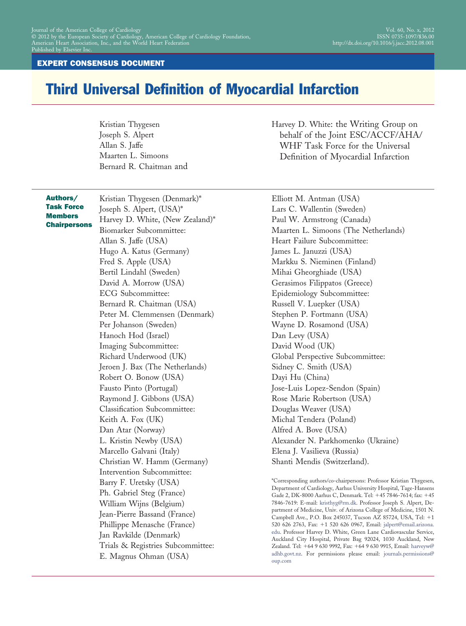#### EXPERT CONSENSUS DOCUMENT

# Third Universal Definition of Myocardial Infarction

Kristian Thygesen Joseph S. Alpert Allan S. Jaffe Maarten L. Simoons Bernard R. Chaitman and

Authors/ Task Force Members **Chairpersons**  Kristian Thygesen (Denmark)\* Joseph S. Alpert, (USA)\* Harvey D. White, (New Zealand)\* Biomarker Subcommittee: Allan S. Jaffe (USA) Hugo A. Katus (Germany) Fred S. Apple (USA) Bertil Lindahl (Sweden) David A. Morrow (USA) ECG Subcommittee: Bernard R. Chaitman (USA) Peter M. Clemmensen (Denmark) Per Johanson (Sweden) Hanoch Hod (Israel) Imaging Subcommittee: Richard Underwood (UK) Jeroen J. Bax (The Netherlands) Robert O. Bonow (USA) Fausto Pinto (Portugal) Raymond J. Gibbons (USA) Classification Subcommittee: Keith A. Fox (UK) Dan Atar (Norway) L. Kristin Newby (USA) Marcello Galvani (Italy) Christian W. Hamm (Germany) Intervention Subcommittee: Barry F. Uretsky (USA) Ph. Gabriel Steg (France) William Wijns (Belgium) Jean-Pierre Bassand (France) Phillippe Menasche (France) Jan Ravkilde (Denmark) Trials & Registries Subcommittee: E. Magnus Ohman (USA)

Harvey D. White: the Writing Group on behalf of the Joint ESC/ACCF/AHA/ WHF Task Force for the Universal Definition of Myocardial Infarction

Elliott M. Antman (USA) Lars C. Wallentin (Sweden) Paul W. Armstrong (Canada) Maarten L. Simoons (The Netherlands) Heart Failure Subcommittee: James L. Januzzi (USA) Markku S. Nieminen (Finland) Mihai Gheorghiade (USA) Gerasimos Filippatos (Greece) Epidemiology Subcommittee: Russell V. Luepker (USA) Stephen P. Fortmann (USA) Wayne D. Rosamond (USA) Dan Levy (USA) David Wood (UK) Global Perspective Subcommittee: Sidney C. Smith (USA) Dayi Hu (China) Jose-Luis Lopez-Sendon (Spain) Rose Marie Robertson (USA) Douglas Weaver (USA) Michal Tendera (Poland) Alfred A. Bove (USA) Alexander N. Parkhomenko (Ukraine) Elena J. Vasilieva (Russia) Shanti Mendis (Switzerland).

\*Corresponding authors/co-chairpersons: Professor Kristian Thygesen, Department of Cardiology, Aarhus University Hospital, Tage-Hansens Gade 2, DK-8000 Aarhus C, Denmark. Tel: 45 7846-7614; fax: 45 7846-7619: E-mail: [kristhyg@rm.dk.](mailto:kristhyg@rm.dk) Professor Joseph S. Alpert, Department of Medicine, Univ. of Arizona College of Medicine, 1501 N. Campbell Ave., P.O. Box 245037, Tucson AZ 85724, USA, Tel: 1 520 626 2763, Fax: 1 520 626 0967, Email: [jalpert@email.arizona.](mailto:jalpert@email.arizona.edu) [edu.](mailto:jalpert@email.arizona.edu) Professor Harvey D. White, Green Lane Cardiovascular Service, Auckland City Hospital, Private Bag 92024, 1030 Auckland, New Zealand. Tel: +64 9 630 9992, Fax: +64 9 630 9915, Email: [harveyw@](mailto:harveyw@adhb.govt.nz) [adhb.govt.nz.](mailto:harveyw@adhb.govt.nz) For permissions please email: [journals.permissions@](mailto:journals.permissions@oup.com) [oup.com](mailto:journals.permissions@oup.com)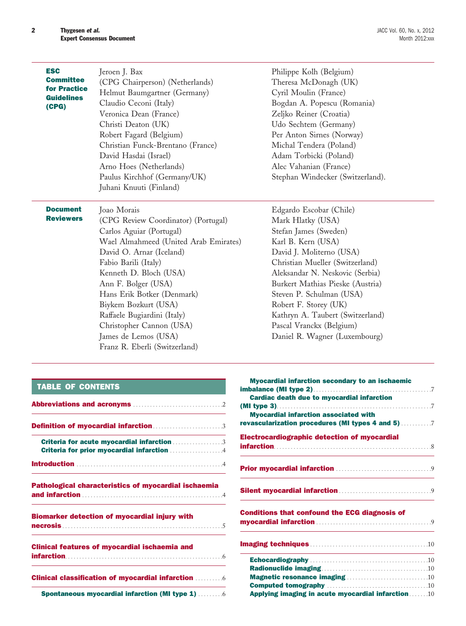| <b>ESC</b><br><b>Committee</b><br><b>for Practice</b><br><b>Guidelines</b><br>(CPG) | Jeroen J. Bax<br>(CPG Chairperson) (Netherlands)<br>Helmut Baumgartner (Germany)<br>Claudio Ceconi (Italy)<br>Veronica Dean (France)<br>Christi Deaton (UK)<br>Robert Fagard (Belgium)<br>Christian Funck-Brentano (France)<br>David Hasdai (Israel)<br>Arno Hoes (Netherlands)<br>Paulus Kirchhof (Germany/UK)<br>Juhani Knuuti (Finland)                                                             | Philippe Kolh (Belgium)<br>Theresa McDonagh (UK)<br>Cyril Moulin (France)<br>Bogdan A. Popescu (Romania)<br>Zeljko Reiner (Croatia)<br>Udo Sechtem (Germany)<br>Per Anton Sirnes (Norway)<br>Michal Tendera (Poland)<br>Adam Torbicki (Poland)<br>Alec Vahanian (France)<br>Stephan Windecker (Switzerland).                                                                            |
|-------------------------------------------------------------------------------------|--------------------------------------------------------------------------------------------------------------------------------------------------------------------------------------------------------------------------------------------------------------------------------------------------------------------------------------------------------------------------------------------------------|-----------------------------------------------------------------------------------------------------------------------------------------------------------------------------------------------------------------------------------------------------------------------------------------------------------------------------------------------------------------------------------------|
| <b>Document</b><br><b>Reviewers</b>                                                 | Joao Morais<br>(CPG Review Coordinator) (Portugal)<br>Carlos Aguiar (Portugal)<br>Wael Almahmeed (United Arab Emirates)<br>David O. Arnar (Iceland)<br>Fabio Barili (Italy)<br>Kenneth D. Bloch (USA)<br>Ann F. Bolger (USA)<br>Hans Erik Botker (Denmark)<br>Biykem Bozkurt (USA)<br>Raffaele Bugiardini (Italy)<br>Christopher Cannon (USA)<br>James de Lemos (USA)<br>Franz R. Eberli (Switzerland) | Edgardo Escobar (Chile)<br>Mark Hlatky (USA)<br>Stefan James (Sweden)<br>Karl B. Kern (USA)<br>David J. Moliterno (USA)<br>Christian Mueller (Switzerland)<br>Aleksandar N. Neskovic (Serbia)<br>Burkert Mathias Pieske (Austria)<br>Steven P. Schulman (USA)<br>Robert F. Storey (UK)<br>Kathryn A. Taubert (Switzerland)<br>Pascal Vranckx (Belgium)<br>Daniel R. Wagner (Luxembourg) |

# TABLE OF CONTENTS

 $\overline{a}$ 

| <b>Definition of myocardial infarction 3</b>                                                    |
|-------------------------------------------------------------------------------------------------|
| Criteria for acute myocardial infarction 3<br><b>Criteria for prior myocardial infarction 4</b> |
|                                                                                                 |
| <b>Pathological characteristics of myocardial ischaemia</b>                                     |
| <b>Biomarker detection of myocardial injury with</b>                                            |
| <b>Clinical features of myocardial ischaemia and</b>                                            |
| <b>Clinical classification of myocardial infarction matures</b>                                 |
| <b>Spontaneous myocardial infarction (MI type 1)</b> 6                                          |

| <b>Myocardial infarction secondary to an ischaemic</b>           |  |  |  |  |  |  |  |
|------------------------------------------------------------------|--|--|--|--|--|--|--|
|                                                                  |  |  |  |  |  |  |  |
| <b>Cardiac death due to myocardial infarction</b>                |  |  |  |  |  |  |  |
|                                                                  |  |  |  |  |  |  |  |
| <b>Myocardial infarction associated with</b>                     |  |  |  |  |  |  |  |
| revascularization procedures (MI types 4 and 5) 7                |  |  |  |  |  |  |  |
| <b>Electrocardiographic detection of myocardial</b>              |  |  |  |  |  |  |  |
|                                                                  |  |  |  |  |  |  |  |
|                                                                  |  |  |  |  |  |  |  |
|                                                                  |  |  |  |  |  |  |  |
| <b>Conditions that confound the ECG diagnosis of</b>             |  |  |  |  |  |  |  |
|                                                                  |  |  |  |  |  |  |  |
|                                                                  |  |  |  |  |  |  |  |
| <u> 1989 - Andrea Stadt Britain, amerikansk politik (* 1958)</u> |  |  |  |  |  |  |  |
|                                                                  |  |  |  |  |  |  |  |
|                                                                  |  |  |  |  |  |  |  |
|                                                                  |  |  |  |  |  |  |  |
| Applying imaging in acute myocardial infarction 10               |  |  |  |  |  |  |  |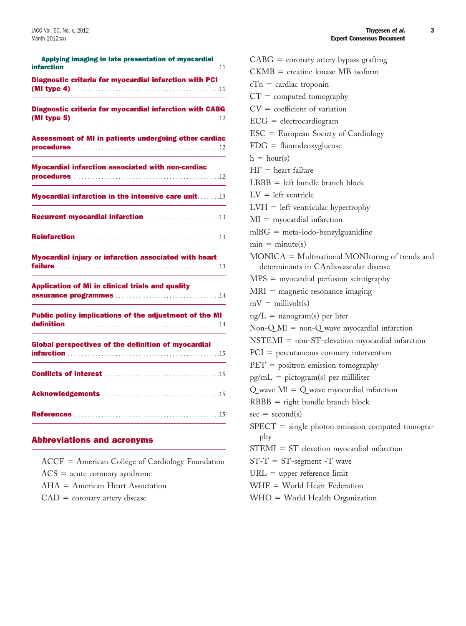| Applying imaging in late presentation of myocardial<br>infarction                                                                                                                                                                                                                                      |
|--------------------------------------------------------------------------------------------------------------------------------------------------------------------------------------------------------------------------------------------------------------------------------------------------------|
| Diagnostic criteria for myocardial infarction with PCI                                                                                                                                                                                                                                                 |
| <b>Diagnostic criteria for myocardial infarction with CABG</b><br><u> The Community of the Community of the Community of the Community of the Community of the Community of the Community of the Community of the Community of the Community of the Community of the Community of the Community of</u> |
| Assessment of MI in patients undergoing other cardiac                                                                                                                                                                                                                                                  |
| Myocardial infarction associated with non-cardiac                                                                                                                                                                                                                                                      |
| Myocardial infarction in the intensive care unit13                                                                                                                                                                                                                                                     |
| $\label{eq:2.1} \mathcal{L}(\mathcal{L}^{\mathcal{L}}_{\mathcal{L}}(\mathcal{L}^{\mathcal{L}}_{\mathcal{L}})) \leq \mathcal{L}(\mathcal{L}^{\mathcal{L}}_{\mathcal{L}}(\mathcal{L}^{\mathcal{L}}_{\mathcal{L}}))$                                                                                      |
|                                                                                                                                                                                                                                                                                                        |
| Myocardial injury or infarction associated with heart                                                                                                                                                                                                                                                  |
| <b>Application of MI in clinical trials and quality</b>                                                                                                                                                                                                                                                |
| Public policy implications of the adjustment of the MI                                                                                                                                                                                                                                                 |
| <b>Global perspectives of the definition of myocardial</b>                                                                                                                                                                                                                                             |
|                                                                                                                                                                                                                                                                                                        |
|                                                                                                                                                                                                                                                                                                        |
|                                                                                                                                                                                                                                                                                                        |

# Abbreviations and acronyms

ACCF = American College of Cardiology Foundation  $ACS = acute\,\,coronary\,\,syndrome$ AHA = American Heart Association

 $CAD = \text{coronary artery disease}$ 

CABG - coronary artery bypass grafting  $CKMB =$  creatine kinase MB isoform  $cTn$  = cardiac troponin  $CT =$  computed tomography  $CV = coefficient of variation$ ECG - electrocardiogram ESC - European Society of Cardiology  $FDG = \text{fluorodeoxyglucose}$  $h = hour(s)$  $HF =$  heart failure  $LBBB = left$  bundle branch block  $LV = left$  ventricle  $LVH = left$  ventricular hypertrophy  $MI = mycardial infarction$ mlBG = meta-iodo-benzylguanidine  $min = minute(s)$ MONICA - Multinational MONItoring of trends and determinants in CArdiovascular disease MPS - myocardial perfusion scintigraphy MRI = magnetic resonance imaging  $mV = \text{millivolt}(s)$  $ng/L =$  nanogram(s) per liter Non-Q Ml = non-Q wave myocardial infarction NSTEMI - non-ST-elevation myocardial infarction PCI = percutaneous coronary intervention PET = positron emission tomography pg/mL - pictogram(s) per milliliter  $Q$  wave  $M = Q$  wave myocardial infarction  $RBBB = right$  bundle branch block  $\sec = \text{second(s)}$  $SPECT$  = single photon emission computed tomography STEMI - ST elevation myocardial infarction  $ST-T = ST-segment -T$  wave  $URL = upper reference limit$ WHF = World Heart Federation WHO = World Health Organization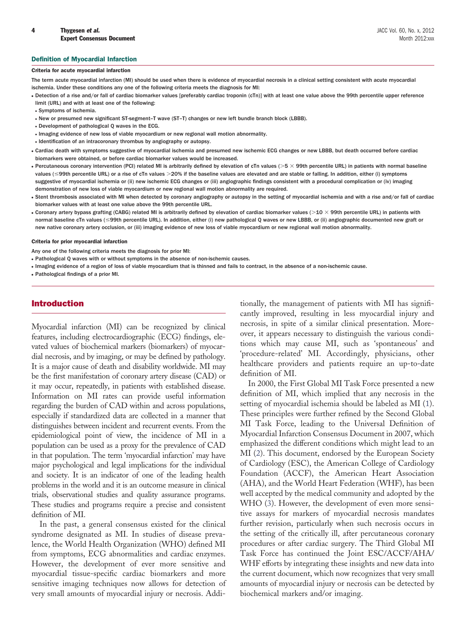#### Definition of Myocardial Infarction

#### Criteria for acute myocardial infarction

The term acute myocardial infarction (MI) should be used when there is evidence of myocardial necrosis in a clinical setting consistent with acute myocardial ischemia. Under these conditions any one of the following criteria meets the diagnosis for MI:

- Detection of a rise and/or fall of cardiac biomarker values [preferably cardiac troponin (cTn)] with at least one value above the 99th percentile upper reference limit (URL) and with at least one of the following:
- <sup>y</sup> Symptoms of ischemia.
- <sup>y</sup> New or presumed new significant ST-segment–T wave (ST–T) changes or new left bundle branch block (LBBB).
- Development of pathological Q waves in the ECG.
- Imaging evidence of new loss of viable myocardium or new regional wall motion abnormality.
- Identification of an intracoronary thrombus by angiography or autopsy.
- Cardiac death with symptoms suggestive of myocardial ischemia and presumed new ischemic ECG changes or new LBBB, but death occurred before cardiac biomarkers were obtained, or before cardiac biomarker values would be increased.
- Percutaneous coronary intervention (PCI) related MI is arbitrarily defined by elevation of cTn values ( $>5 \times 99$ th percentile URL) in patients with normal baseline values (≤99th percentile URL) or a rise of cTn values >20% if the baseline values are elevated and are stable or falling. In addition, either (i) symptoms suggestive of myocardial ischemia or (ii) new ischemic ECG changes or (iii) angiographic findings consistent with a procedural complication or (iv) imaging demonstration of new loss of viable myocardium or new regional wall motion abnormality are required.
- Stent thrombosis associated with MI when detected by coronary angiography or autopsy in the setting of myocardial ischemia and with a rise and/or fall of cardiac biomarker values with at least one value above the 99th percentile URL.
- Coronary artery bypass grafting (CABG) related MI is arbitrarily defined by elevation of cardiac biomarker values (>10  $\times$  99th percentile URL) in patients with normal baseline cTn values (≤99th percentile URL). In addition, either (i) new pathological Q waves or new LBBB, or (ii) angiographic documented new graft or new native coronary artery occlusion, or (iii) imaging evidence of new loss of viable myocardium or new regional wall motion abnormality.

#### Criteria for prior myocardial infarction

Any one of the following criteria meets the diagnosis for prior MI:

- Pathological Q waves with or without symptoms in the absence of non-ischemic causes.
- Imaging evidence of a region of loss of viable myocardium that is thinned and fails to contract, in the absence of a non-ischemic cause.
- Pathological findings of a prior MI.

### Introduction

Myocardial infarction (MI) can be recognized by clinical features, including electrocardiographic (ECG) findings, elevated values of biochemical markers (biomarkers) of myocardial necrosis, and by imaging, or may be defined by pathology. It is a major cause of death and disability worldwide. MI may be the first manifestation of coronary artery disease (CAD) or it may occur, repeatedly, in patients with established disease. Information on MI rates can provide useful information regarding the burden of CAD within and across populations, especially if standardized data are collected in a manner that distinguishes between incident and recurrent events. From the epidemiological point of view, the incidence of MI in a population can be used as a proxy for the prevalence of CAD in that population. The term 'myocardial infarction' may have major psychological and legal implications for the individual and society. It is an indicator of one of the leading health problems in the world and it is an outcome measure in clinical trials, observational studies and quality assurance programs. These studies and programs require a precise and consistent definition of MI.

In the past, a general consensus existed for the clinical syndrome designated as MI. In studies of disease prevalence, the World Health Organization (WHO) defined MI from symptoms, ECG abnormalities and cardiac enzymes. However, the development of ever more sensitive and myocardial tissue-specific cardiac biomarkers and more sensitive imaging techniques now allows for detection of very small amounts of myocardial injury or necrosis. Additionally, the management of patients with MI has significantly improved, resulting in less myocardial injury and necrosis, in spite of a similar clinical presentation. Moreover, it appears necessary to distinguish the various conditions which may cause MI, such as 'spontaneous' and 'procedure-related' MI. Accordingly, physicians, other healthcare providers and patients require an up-to-date definition of MI.

In 2000, the First Global MI Task Force presented a new definition of MI, which implied that any necrosis in the setting of myocardial ischemia should be labeled as MI [\(1\)](#page-14-0). These principles were further refined by the Second Global MI Task Force, leading to the Universal Definition of Myocardial Infarction Consensus Document in 2007, which emphasized the different conditions which might lead to an MI [\(2\)](#page-14-1). This document, endorsed by the European Society of Cardiology (ESC), the American College of Cardiology Foundation (ACCF), the American Heart Association (AHA), and the World Heart Federation (WHF), has been well accepted by the medical community and adopted by the WHO [\(3\)](#page-14-2). However, the development of even more sensitive assays for markers of myocardial necrosis mandates further revision, particularly when such necrosis occurs in the setting of the critically ill, after percutaneous coronary procedures or after cardiac surgery. The Third Global MI Task Force has continued the Joint ESC/ACCF/AHA/ WHF efforts by integrating these insights and new data into the current document, which now recognizes that very small amounts of myocardial injury or necrosis can be detected by biochemical markers and/or imaging.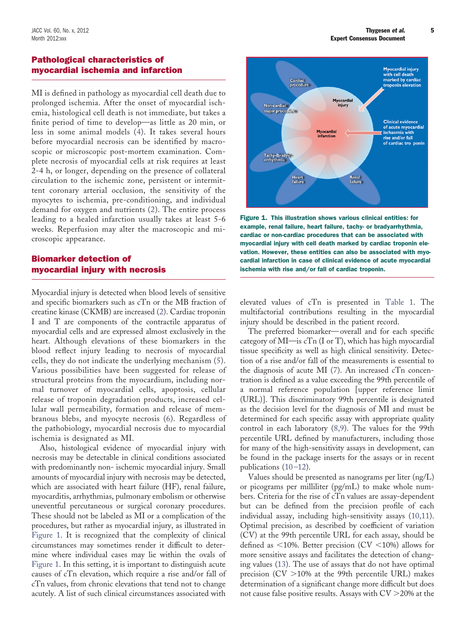# Pathological characteristics of myocardial ischemia and infarction

MI is defined in pathology as myocardial cell death due to prolonged ischemia. After the onset of myocardial ischemia, histological cell death is not immediate, but takes a finite period of time to develop—as little as 20 min, or less in some animal models [\(4\)](#page-14-3). It takes several hours before myocardial necrosis can be identified by macroscopic or microscopic post-mortem examination. Complete necrosis of myocardial cells at risk requires at least 2-4 h, or longer, depending on the presence of collateral circulation to the ischemic zone, persistent or intermittent coronary arterial occlusion, the sensitivity of the myocytes to ischemia, pre-conditioning, and individual demand for oxygen and nutrients [\(2\)](#page-14-1). The entire process leading to a healed infarction usually takes at least 5-6 weeks. Reperfusion may alter the macroscopic and microscopic appearance.

# Biomarker detection of myocardial injury with necrosis

Myocardial injury is detected when blood levels of sensitive and specific biomarkers such as cTn or the MB fraction of creatine kinase (CKMB) are increased [\(2\)](#page-14-1). Cardiac troponin I and T are components of the contractile apparatus of myocardial cells and are expressed almost exclusively in the heart. Although elevations of these biomarkers in the blood reflect injury leading to necrosis of myocardial cells, they do not indicate the underlying mechanism [\(5\)](#page-14-4). Various possibilities have been suggested for release of structural proteins from the myocardium, including normal turnover of myocardial cells, apoptosis, cellular release of troponin degradation products, increased cellular wall permeability, formation and release of membranous blebs, and myocyte necrosis [\(6\)](#page-14-5). Regardless of the pathobiology, myocardial necrosis due to myocardial ischemia is designated as MI.

Also, histological evidence of myocardial injury with necrosis may be detectable in clinical conditions associated with predominantly non- ischemic myocardial injury. Small amounts of myocardial injury with necrosis may be detected, which are associated with heart failure (HF), renal failure, myocarditis, arrhythmias, pulmonary embolism or otherwise uneventful percutaneous or surgical coronary procedures. These should not be labeled as MI or a complication of the procedures, but rather as myocardial injury, as illustrated in [Figure 1.](#page-4-0) It is recognized that the complexity of clinical circumstances may sometimes render it difficult to determine where individual cases may lie within the ovals of [Figure 1.](#page-4-0) In this setting, it is important to distinguish acute causes of cTn elevation, which require a rise and/or fall of cTn values, from chronic elevations that tend not to change acutely. A list of such clinical circumstances associated with



<span id="page-4-0"></span>Figure 1. This illustration shows various clinical entities: for example, renal failure, heart failure, tachy- or bradyarrhythmia, cardiac or non-cardiac procedures that can be associated with myocardial injury with cell death marked by cardiac troponin elevation. However, these entities can also be associated with myocardial infarction in case of clinical evidence of acute myocardial ischemia with rise and/or fall of cardiac troponin.

elevated values of cTn is presented in [Table 1.](#page-5-0) The multifactorial contributions resulting in the myocardial injury should be described in the patient record.

The preferred biomarker—overall and for each specific category of MI—is cTn (I or T), which has high myocardial tissue specificity as well as high clinical sensitivity. Detection of a rise and/or fall of the measurements is essential to the diagnosis of acute MI  $(7)$ . An increased cTn concentration is defined as a value exceeding the 99th percentile of a normal reference population [upper reference limit (URL)]. This discriminatory 99th percentile is designated as the decision level for the diagnosis of MI and must be determined for each specific assay with appropriate quality control in each laboratory [\(8,9\)](#page-15-0). The values for the 99th percentile URL defined by manufacturers, including those for many of the high-sensitivity assays in development, can be found in the package inserts for the assays or in recent publications  $(10-12)$ .

Values should be presented as nanograms per liter (ng/L) or picograms per milliliter (pg/mL) to make whole numbers. Criteria for the rise of cTn values are assay-dependent but can be defined from the precision profile of each individual assay, including high-sensitivity assays [\(10,11\)](#page-15-1). Optimal precision, as described by coefficient of variation (CV) at the 99th percentile URL for each assay, should be defined as  $\leq 10\%$ . Better precision (CV  $\leq 10\%$ ) allows for more sensitive assays and facilitates the detection of changing values [\(13\)](#page-15-2). The use of assays that do not have optimal precision ( $CV > 10\%$  at the 99th percentile URL) makes determination of a significant change more difficult but does not cause false positive results. Assays with  $CV > 20\%$  at the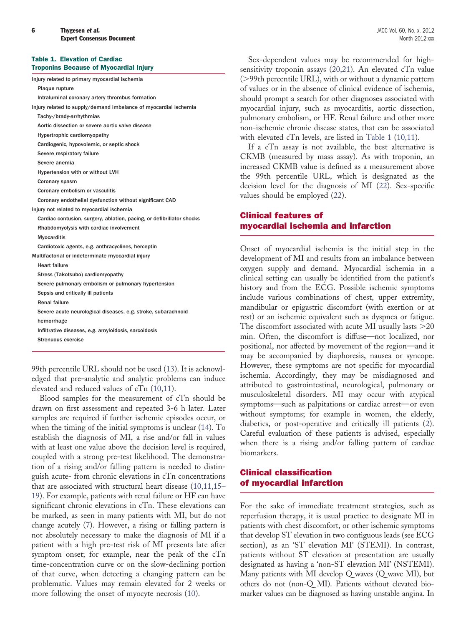#### <span id="page-5-0"></span>Table 1. Elevation of Cardiac Troponins Because of Myocardial Injury

| Injury related to primary myocardial ischemia                         |
|-----------------------------------------------------------------------|
| Plaque rupture                                                        |
| Intraluminal coronary artery thrombus formation                       |
| Injury related to supply/demand imbalance of myocardial ischemia      |
| Tachy-/brady-arrhythmias                                              |
| Aortic dissection or severe aortic valve disease                      |
| Hypertrophic cardiomyopathy                                           |
| Cardiogenic, hypovolemic, or septic shock                             |
| Severe respiratory failure                                            |
| Severe anemia                                                         |
| Hypertension with or without LVH                                      |
| Coronary spasm                                                        |
| Coronary embolism or vasculitis                                       |
| Coronary endothelial dysfunction without significant CAD              |
| Injury not related to myocardial ischemia                             |
| Cardiac contusion, surgery, ablation, pacing, or defibrillator shocks |
| Rhabdomyolysis with cardiac involvement                               |
| <b>Myocarditis</b>                                                    |
| Cardiotoxic agents, e.g. anthracyclines, herceptin                    |
| Multifactorial or indeterminate myocardial injury                     |
| <b>Heart failure</b>                                                  |
| Stress (Takotsubo) cardiomyopathy                                     |
| Severe pulmonary embolism or pulmonary hypertension                   |
| Sepsis and critically ill patients                                    |
| Renal failure                                                         |
| Severe acute neurological diseases, e.g. stroke, subarachnoid         |
| hemorrhage                                                            |
| Infiltrative diseases, e.g. amyloidosis, sarcoidosis                  |
| Strenuous exercise                                                    |
|                                                                       |

99th percentile URL should not be used [\(13\)](#page-15-2). It is acknowledged that pre-analytic and analytic problems can induce elevated and reduced values of cTn [\(10,11\)](#page-15-1).

Blood samples for the measurement of cTn should be drawn on first assessment and repeated 3-6 h later. Later samples are required if further ischemic episodes occur, or when the timing of the initial symptoms is unclear [\(14\)](#page-15-3). To establish the diagnosis of MI, a rise and/or fall in values with at least one value above the decision level is required, coupled with a strong pre-test likelihood. The demonstration of a rising and/or falling pattern is needed to distinguish acute- from chronic elevations in cTn concentrations that are associated with structural heart disease [\(10,11,15–](#page-15-1) [19\)](#page-15-1). For example, patients with renal failure or HF can have significant chronic elevations in cTn. These elevations can be marked, as seen in many patients with MI, but do not change acutely [\(7\)](#page-14-6). However, a rising or falling pattern is not absolutely necessary to make the diagnosis of MI if a patient with a high pre-test risk of MI presents late after symptom onset; for example, near the peak of the cTn time-concentration curve or on the slow-declining portion of that curve, when detecting a changing pattern can be problematic. Values may remain elevated for 2 weeks or more following the onset of myocyte necrosis [\(10\)](#page-15-1).

Sex-dependent values may be recommended for highsensitivity troponin assays  $(20,21)$ . An elevated cTn value (99th percentile URL), with or without a dynamic pattern of values or in the absence of clinical evidence of ischemia, should prompt a search for other diagnoses associated with myocardial injury, such as myocarditis, aortic dissection, pulmonary embolism, or HF. Renal failure and other more non-ischemic chronic disease states, that can be associated with elevated cTn levels, are listed in [Table 1](#page-5-0) [\(10,11\)](#page-15-1).

If a cTn assay is not available, the best alternative is CKMB (measured by mass assay). As with troponin, an increased CKMB value is defined as a measurement above the 99th percentile URL, which is designated as the decision level for the diagnosis of MI [\(22\)](#page-15-5). Sex-specific values should be employed [\(22\)](#page-15-5).

# Clinical features of myocardial ischemia and infarction

Onset of myocardial ischemia is the initial step in the development of MI and results from an imbalance between oxygen supply and demand. Myocardial ischemia in a clinical setting can usually be identified from the patient's history and from the ECG. Possible ischemic symptoms include various combinations of chest, upper extremity, mandibular or epigastric discomfort (with exertion or at rest) or an ischemic equivalent such as dyspnea or fatigue. The discomfort associated with acute MI usually lasts  $>$ 20 min. Often, the discomfort is diffuse—not localized, nor positional, nor affected by movement of the region—and it may be accompanied by diaphoresis, nausea or syncope. However, these symptoms are not specific for myocardial ischemia. Accordingly, they may be misdiagnosed and attributed to gastrointestinal, neurological, pulmonary or musculoskeletal disorders. MI may occur with atypical symptoms—such as palpitations or cardiac arrest—or even without symptoms; for example in women, the elderly, diabetics, or post-operative and critically ill patients [\(2\)](#page-14-1). Careful evaluation of these patients is advised, especially when there is a rising and/or falling pattern of cardiac biomarkers.

# Clinical classification of myocardial infarction

For the sake of immediate treatment strategies, such as reperfusion therapy, it is usual practice to designate MI in patients with chest discomfort, or other ischemic symptoms that develop ST elevation in two contiguous leads (see ECG section), as an 'ST elevation MI' (STEMI). In contrast, patients without ST elevation at presentation are usually designated as having a 'non-ST elevation MI' (NSTEMI). Many patients with MI develop Q waves (Q wave MI), but others do not (non-Q MI). Patients without elevated biomarker values can be diagnosed as having unstable angina. In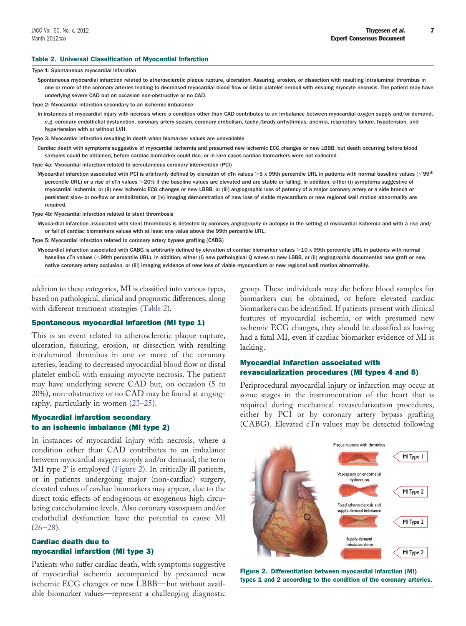#### <span id="page-6-0"></span>Table 2. Universal Classification of Myocardial Infarction

Type 1: Spontaneous myocardial infarction

Spontaneous myocardial infarction related to atherosclerotic plaque rupture, ulceration, Assuring, erosion, or dissection with resulting intraluminal thrombus in one or more of the coronary arteries leading to decreased myocardial blood flow or distal platelet emboli with ensuing myocyte necrosis. The patient may have underlying severe CAD but on occasion non-obstructive or no CAD.

Type 2: Myocardial infarction secondary to an ischemic imbalance

In instances of myocardial injury with necrosis where a condition other than CAD contributes to an imbalance between myocardial oxygen supply and/or demand, e.g. coronary endothelial dysfunction, coronary artery spasm, coronary embolism, tachy-/brady-arrhythmias, anemia, respiratory failure, hypotension, and hypertension with or without LVH.

Type 3: Myocardial infarction resulting in death when biomarker values are unavailable

Cardiac death with symptoms suggestive of myocardial ischemia and presumed new ischemic ECG changes or new LBBB, but death occurring before blood samples could be obtained, before cardiac biomarker could rise, or in rare cases cardiac biomarkers were not collected.

Type 4a: Myocardial infarction related to percutaneous coronary intervention (PCI)

Myocardial infarction associated with PCI is arbitrarily defined by elevation of cTn values  $>5$  x 99th percentile URL in patients with normal baseline values (<99<sup>th</sup> percentile URL) or a rise of cTn values >20% if the baseline values are elevated and are stable or falling. In addition, either (i) symptoms suggestive of myocardial ischemia, or (ii) new ischemic ECG changes or new LBBB, or (iii) angiographic loss of patency of a major coronary artery or a side branch or persistent slow- or no-flow or embolization, or (iv) imaging demonstration of new loss of viable myocardium or new regional wall motion abnormality are required.

Type 4b: Myocardial infarction related to stent thrombosis

Myocardial infarction associated with stent thrombosis is detected by coronary angiography or autopsy in the setting of myocardial ischemia and with a rise and/ or fall of cardiac biomarkers values with at least one value above the 99th percentile URL.

Type 5: Myocardial infarction related to coronary artery bypass grafting (CABG)

Myocardial infarction associated with CABG is arbitrarily defined by elevation of cardiac biomarker values  $>10$  x 99th percentile URL in patients with normal baseline cTn values (<99th percentile URL). In addition, either (i) new pathological Q waves or new LBBB, or (ii) angiographic documented new graft or new native coronary artery occlusion, or (iii) imaging evidence of new loss of viable myocardium or new regional wall motion abnormality.

addition to these categories, MI is classified into various types, based on pathological, clinical and prognostic differences, along with different treatment strategies [\(Table 2\)](#page-6-0).

#### Spontaneous myocardial infarction (MI type 1)

This is an event related to atherosclerotic plaque rupture, ulceration, fissuring, erosion, or dissection with resulting intraluminal thrombus in one or more of the coronary arteries, leading to decreased myocardial blood flow or distal platelet emboli with ensuing myocyte necrosis. The patient may have underlying severe CAD but, on occasion (5 to 20%), non-obstructive or no CAD may be found at angiography, particularly in women [\(23–25\)](#page-15-6).

### Myocardial infarction secondary to an ischemic imbalance (MI type 2)

In instances of myocardial injury with necrosis, where a condition other than CAD contributes to an imbalance between myocardial oxygen supply and/or demand, the term 'MI type 2' is employed [\(Figure 2\)](#page-6-1). In critically ill patients, or in patients undergoing major (non-cardiac) surgery, elevated values of cardiac biomarkers may appear, due to the direct toxic effects of endogenous or exogenous high circulating catecholamine levels. Also coronary vasospasm and/or endothelial dysfunction have the potential to cause MI  $(26 - 28)$ .

### Cardiac death due to myocardial infarction (MI type 3)

Patients who suffer cardiac death, with symptoms suggestive of myocardial ischemia accompanied by presumed new ischemic ECG changes or new LBBB— but without available biomarker values—represent a challenging diagnostic

group. These individuals may die before blood samples for biomarkers can be obtained, or before elevated cardiac biomarkers can be identified. If patients present with clinical features of myocardial ischemia, or with presumed new ischemic ECG changes, they should be classified as having had a fatal MI, even if cardiac biomarker evidence of MI is lacking.

### Myocardial infarction associated with revascularization procedures (MI types 4 and 5)

Periprocedural myocardial injury or infarction may occur at some stages in the instrumentation of the heart that is required during mechanical revascularization procedures, either by PCI or by coronary artery bypass grafting (CABG). Elevated cTn values may be detected following



<span id="page-6-1"></span>Figure 2. Differentiation between myocardial infarction (MI) types 1 and 2 according to the condition of the coronary arteries.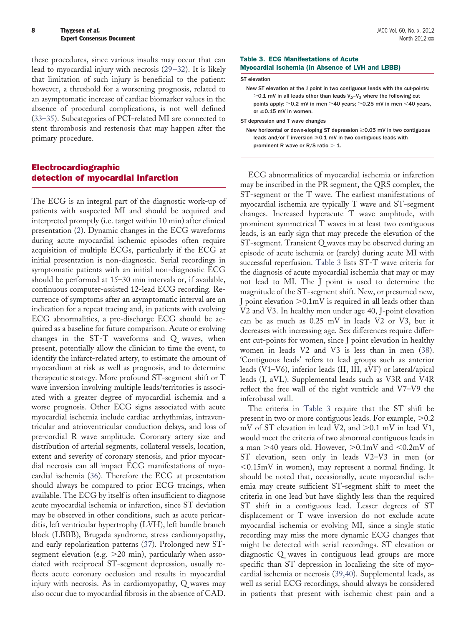these procedures, since various insults may occur that can lead to myocardial injury with necrosis [\(29 –32\)](#page-15-8). It is likely that limitation of such injury is beneficial to the patient: however, a threshold for a worsening prognosis, related to an asymptomatic increase of cardiac biomarker values in the absence of procedural complications, is not well defined [\(33–35\)](#page-15-9). Subcategories of PCI-related MI are connected to stent thrombosis and restenosis that may happen after the primary procedure.

# Electrocardiographic detection of myocardial infarction

The ECG is an integral part of the diagnostic work-up of patients with suspected MI and should be acquired and interpreted promptly (i.e. target within 10 min) after clinical presentation [\(2\)](#page-14-1). Dynamic changes in the ECG waveforms during acute myocardial ischemic episodes often require acquisition of multiple ECGs, particularly if the ECG at initial presentation is non-diagnostic. Serial recordings in symptomatic patients with an initial non-diagnostic ECG should be performed at 15–30 min intervals or, if available, continuous computer-assisted 12-lead ECG recording. Recurrence of symptoms after an asymptomatic interval are an indication for a repeat tracing and, in patients with evolving ECG abnormalities, a pre-discharge ECG should be acquired as a baseline for future comparison. Acute or evolving changes in the ST-T waveforms and Q waves, when present, potentially allow the clinician to time the event, to identify the infarct-related artery, to estimate the amount of myocardium at risk as well as prognosis, and to determine therapeutic strategy. More profound ST-segment shift or T wave inversion involving multiple leads/territories is associated with a greater degree of myocardial ischemia and a worse prognosis. Other ECG signs associated with acute myocardial ischemia include cardiac arrhythmias, intraventricular and atrioventricular conduction delays, and loss of pre-cordial R wave amplitude. Coronary artery size and distribution of arterial segments, collateral vessels, location, extent and severity of coronary stenosis, and prior myocardial necrosis can all impact ECG manifestations of myocardial ischemia [\(36\)](#page-15-10). Therefore the ECG at presentation should always be compared to prior ECG tracings, when available. The ECG by itself is often insufficient to diagnose acute myocardial ischemia or infarction, since ST deviation may be observed in other conditions, such as acute pericarditis, left ventricular hypertrophy (LVH), left bundle branch block (LBBB), Brugada syndrome, stress cardiomyopathy, and early repolarization patterns [\(37\)](#page-15-11). Prolonged new STsegment elevation (e.g. 20 min), particularly when associated with reciprocal ST-segment depression, usually reflects acute coronary occlusion and results in myocardial injury with necrosis. As in cardiomyopathy, Q waves may also occur due to myocardial fibrosis in the absence of CAD.

#### <span id="page-7-0"></span>Table 3. ECG Manifestations of Acute Myocardial Ischemia (in Absence of LVH and LBBB)

ST elevation

New ST elevation at the J point in two contiguous leads with the cut-points:  $\geq$ 0.1 mV in all leads other than leads V<sub>2</sub>-V<sub>3</sub> where the following cut points apply:  $\geq$ 0.2 mV in men  $\geq$ 40 years;  $\geq$ 0.25 mV in men <40 years, or  $\geq$  0.15 mV in women.

ST depression and T wave changes

New horizontal or down-sloping ST depression ≥0.05 mV in two contiguous leads and/or T inversion  $\geq$ 0.1 mV in two contiguous leads with prominent R wave or R/S ratio  $> 1$ .

ECG abnormalities of myocardial ischemia or infarction may be inscribed in the PR segment, the QRS complex, the ST-segment or the T wave. The earliest manifestations of myocardial ischemia are typically T wave and ST-segment changes. Increased hyperacute T wave amplitude, with prominent symmetrical T waves in at least two contiguous leads, is an early sign that may precede the elevation of the ST-segment. Transient Q waves may be observed during an episode of acute ischemia or (rarely) during acute MI with successful reperfusion. [Table 3](#page-7-0) lists ST-T wave criteria for the diagnosis of acute myocardial ischemia that may or may not lead to MI. The J point is used to determine the magnitude of the ST-segment shift. New, or presumed new, J point elevation  $> 0.1$ mV is required in all leads other than V2 and V3. In healthy men under age 40, J-point elevation can be as much as 0.25 mV in leads V2 or V3, but it decreases with increasing age. Sex differences require different cut-points for women, since J point elevation in healthy women in leads V2 and V3 is less than in men [\(38\)](#page-15-12). 'Contiguous leads' refers to lead groups such as anterior leads (V1–V6), inferior leads (II, III, aVF) or lateral/apical leads (I, aVL). Supplemental leads such as V3R and V4R reflect the free wall of the right ventricle and V7–V9 the inferobasal wall.

The criteria in [Table 3](#page-7-0) require that the ST shift be present in two or more contiguous leads. For example,  $>0.2$ mV of ST elevation in lead V2, and  $>0.1$  mV in lead V1, would meet the criteria of two abnormal contiguous leads in a man  $>40$  years old. However,  $>0.1$ mV and  $< 0.2$ mV of ST elevation, seen only in leads V2–V3 in men (or  $0.15$ mV in women), may represent a normal finding. It should be noted that, occasionally, acute myocardial ischemia may create sufficient ST-segment shift to meet the criteria in one lead but have slightly less than the required ST shift in a contiguous lead. Lesser degrees of ST displacement or T wave inversion do not exclude acute myocardial ischemia or evolving MI, since a single static recording may miss the more dynamic ECG changes that might be detected with serial recordings. ST elevation or diagnostic Q waves in contiguous lead groups are more specific than ST depression in localizing the site of myocardial ischemia or necrosis [\(39,40\)](#page-15-13). Supplemental leads, as well as serial ECG recordings, should always be considered in patients that present with ischemic chest pain and a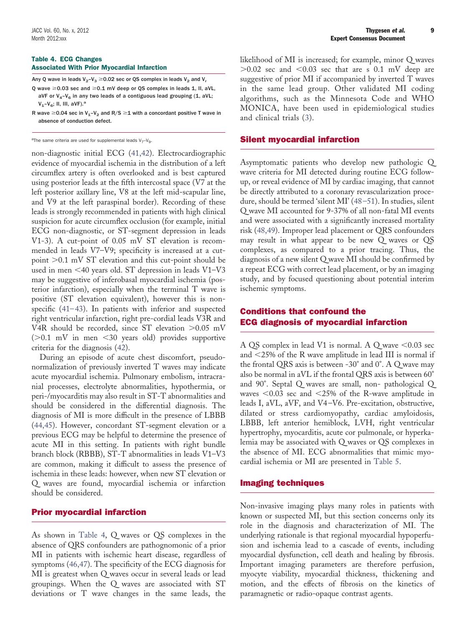#### <span id="page-8-0"></span>Table 4. ECG Changes Associated With Prior Myocardial Infarction

Any Q wave in leads  $\mathsf{V}_2\text{-}\mathsf{V}_3 \geq$  0.02 sec or QS complex in leads  $\mathsf{V}_2$  and  $\mathsf{V}_\mathsf{r}$ 

Q wave  $\geq$ 0.03 sec and  $\geq$ 0.1 mV deep or QS complex in leads 1, II, aVL, aVF or  $V_4-V_6$  in any two leads of a contiguous lead grouping (1, aVL;  $V_1-V_6$ ; II, III, aVF).<sup>a</sup>

R wave  $\geq$ 0.04 sec in V<sub>1</sub>-V<sub>2</sub> and R/S  $\geq$ 1 with a concordant positive T wave in absence of conduction defect.

<sup>a</sup>The same criteria are used for supplemental leads  $V_7-V_9$ .

non-diagnostic initial ECG [\(41,42\)](#page-16-0). Electrocardiographic evidence of myocardial ischemia in the distribution of a left circumflex artery is often overlooked and is best captured using posterior leads at the fifth intercostal space (V7 at the left posterior axillary line, V8 at the left mid-scapular line, and V9 at the left paraspinal border). Recording of these leads is strongly recommended in patients with high clinical suspicion for acute circumflex occlusion (for example, initial ECG non-diagnostic, or ST-segment depression in leads V1-3). A cut-point of 0.05 mV ST elevation is recommended in leads V7–V9; specificity is increased at a cutpoint  $>0.1$  mV ST elevation and this cut-point should be used in men 40 years old. ST depression in leads V1–V3 may be suggestive of inferobasal myocardial ischemia (posterior infarction), especially when the terminal T wave is positive (ST elevation equivalent), however this is nonspecific (41-43). In patients with inferior and suspected right ventricular infarction, right pre-cordial leads V3R and V4R should be recorded, since ST elevation  $>0.05$  mV  $(0.1 \text{ mV} \cdot \text{in} \cdot \text{men} < 30 \text{ years} \cdot \text{old})$  provides supportive criteria for the diagnosis [\(42\)](#page-16-1).

During an episode of acute chest discomfort, pseudonormalization of previously inverted T waves may indicate acute myocardial ischemia. Pulmonary embolism, intracranial processes, electrolyte abnormalities, hypothermia, or peri-/myocarditis may also result in ST-T abnormalities and should be considered in the differential diagnosis. The diagnosis of MI is more difficult in the presence of LBBB [\(44,45\)](#page-16-2). However, concordant ST-segment elevation or a previous ECG may be helpful to determine the presence of acute MI in this setting. In patients with right bundle branch block (RBBB), ST-T abnormalities in leads V1–V3 are common, making it difficult to assess the presence of ischemia in these leads: however, when new ST elevation or Q waves are found, myocardial ischemia or infarction should be considered.

### Prior myocardial infarction

As shown in [Table 4,](#page-8-0) Q waves or QS complexes in the absence of QRS confounders are pathognomonic of a prior MI in patients with ischemic heart disease, regardless of symptoms [\(46,47\)](#page-16-3). The specificity of the ECG diagnosis for MI is greatest when Q waves occur in several leads or lead groupings. When the Q waves are associated with ST deviations or T wave changes in the same leads, the

likelihood of MI is increased; for example, minor Q waves  $>0.02$  sec and  $< 0.03$  sec that are s 0.1 mV deep are suggestive of prior MI if accompanied by inverted T waves in the same lead group. Other validated MI coding algorithms, such as the Minnesota Code and WHO MONICA, have been used in epidemiological studies and clinical trials [\(3\)](#page-14-2).

### Silent myocardial infarction

Asymptomatic patients who develop new pathologic Q wave criteria for MI detected during routine ECG followup, or reveal evidence of MI by cardiac imaging, that cannot be directly attributed to a coronary revascularization procedure, should be termed 'silent MI' [\(48 –51\)](#page-16-4). In studies, silent Q wave MI accounted for 9-37% of all non-fatal MI events and were associated with a significantly increased mortality risk [\(48,49\)](#page-16-4). Improper lead placement or QRS confounders may result in what appear to be new Q waves or QS complexes, as compared to a prior tracing. Thus, the diagnosis of a new silent Q wave MI should be confirmed by a repeat ECG with correct lead placement, or by an imaging study, and by focused questioning about potential interim ischemic symptoms.

# Conditions that confound the ECG diagnosis of myocardial infarction

A QS complex in lead V1 is normal. A Q wave  $\leq 0.03$  sec and 25% of the R wave amplitude in lead III is normal if the frontal QRS axis is between -30° and 0°. A Q wave may also be normal in aVL if the frontal QRS axis is between 60° and 90°. Septal Q waves are small, non- pathological Q waves  $\leq 0.03$  sec and  $\leq 25\%$  of the R-wave amplitude in leads I, aVL, aVF, and V4 –V6. Pre-excitation, obstructive, dilated or stress cardiomyopathy, cardiac amyloidosis, LBBB, left anterior hemiblock, LVH, right ventricular hypertrophy, myocarditis, acute cor pulmonale, or hyperkalemia may be associated with Q waves or QS complexes in the absence of MI. ECG abnormalities that mimic myocardial ischemia or MI are presented in [Table 5.](#page-9-0)

### Imaging techniques

Non-invasive imaging plays many roles in patients with known or suspected MI, but this section concerns only its role in the diagnosis and characterization of MI. The underlying rationale is that regional myocardial hypoperfusion and ischemia lead to a cascade of events, including myocardial dysfunction, cell death and healing by fibrosis. Important imaging parameters are therefore perfusion, myocyte viability, myocardial thickness, thickening and motion, and the effects of fibrosis on the kinetics of paramagnetic or radio-opaque contrast agents.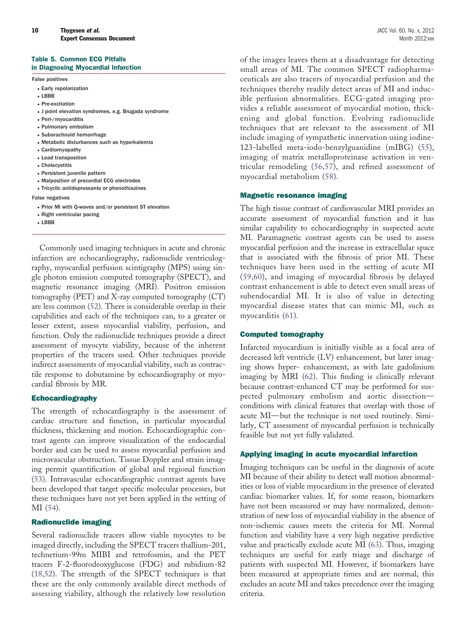#### <span id="page-9-0"></span>Table 5. Common ECG Pitfalls in Diagnosing Myocardial Infarction

| <b>False positives</b>                                                                                       |
|--------------------------------------------------------------------------------------------------------------|
| • Early repolarization<br>$\blacksquare$ I BBB                                                               |
| • Pre-excitation                                                                                             |
| • J point elevation syndromes, e.g. Brugada syndrome<br>• Peri-/myocarditis                                  |
| • Pulmonary embolism                                                                                         |
| • Subarachnoid hemorrhage                                                                                    |
| • Metabolic disturbances such as hyperkalemia                                                                |
| • Cardiomyopathy                                                                                             |
| • Lead transposition                                                                                         |
| • Cholecystitis                                                                                              |
| • Persistent juvenile pattern                                                                                |
| • Malposition of precordial ECG electrodes                                                                   |
| • Tricyclic antidepressants or phenothiazines                                                                |
| <b>False negatives</b>                                                                                       |
| • Prior MI with Q-waves and/or persistent ST elevation<br>• Right ventricular pacing<br>$\blacksquare$ I BBB |

Commonly used imaging techniques in acute and chronic infarction are echocardiography, radionuclide ventriculography, myocardial perfusion scintigraphy (MPS) using single photon emission computed tomography (SPECT), and magnetic resonance imaging (MRI). Positron emission tomography (PET) and X-ray computed tomography (CT) are less common [\(52\)](#page-16-5). There is considerable overlap in their capabilities and each of the techniques can, to a greater or lesser extent, assess myocardial viability, perfusion, and function. Only the radionuclide techniques provide a direct assessment of myocyte viability, because of the inherent properties of the tracers used. Other techniques provide indirect assessments of myocardial viability, such as contractile response to dobutamine by echocardiography or myocardial fibrosis by MR.

### Echocardiography

The strength of echocardiography is the assessment of cardiac structure and function, in particular myocardial thickness, thickening and motion. Echocardiographic contrast agents can improve visualization of the endocardial border and can be used to assess myocardial perfusion and microvascular obstruction. Tissue Doppler and strain imaging permit quantification of global and regional function [\(53\)](#page-16-6). Intravascular echocardiographic contrast agents have been developed that target specific molecular processes, but these techniques have not yet been applied in the setting of MI [\(54\)](#page-16-7).

### Radionuclide imaging

Several radionuclide tracers allow viable myocytes to be imaged directly, including the SPECT tracers thallium-201, technetium-99m MIBI and tetrofosmin, and the PET tracers F-2-fluorodeoxyglucose (FDG) and rubidium-82 [\(18,52\)](#page-15-14). The strength of the SPECT techniques is that these are the only commonly available direct methods of assessing viability, although the relatively low resolution

of the images leaves them at a disadvantage for detecting small areas of MI. The common SPECT radiopharmaceuticals are also tracers of myocardial perfusion and the techniques thereby readily detect areas of MI and inducible perfusion abnormalities. ECG-gated imaging provides a reliable assessment of myocardial motion, thickening and global function. Evolving radionuclide techniques that are relevant to the assessment of MI include imaging of sympathetic innervation using iodine-123-labelled meta-iodo-benzylguanidine (mIBG) [\(55\)](#page-16-8), imaging of matrix metalloproteinase activation in ventricular remodeling [\(56,57\)](#page-16-9), and refined assessment of myocardial metabolism [\(58\)](#page-16-10).

### Magnetic resonance imaging

The high tissue contrast of cardiovascular MRI provides an accurate assessment of myocardial function and it has similar capability to echocardiography in suspected acute MI. Paramagnetic contrast agents can be used to assess myocardial perfusion and the increase in extracellular space that is associated with the fibrosis of prior MI. These techniques have been used in the setting of acute MI [\(59,60\)](#page-16-11), and imaging of myocardial fibrosis by delayed contrast enhancement is able to detect even small areas of subendocardial MI. It is also of value in detecting myocardial disease states that can mimic MI, such as myocarditis [\(61\)](#page-16-12).

### Computed tomography

Infarcted myocardium is initially visible as a focal area of decreased left ventricle (LV) enhancement, but later imaging shows hyper- enhancement, as with late gadolinium imaging by MRI [\(62\)](#page-16-13). This finding is clinically relevant because contrast-enhanced CT may be performed for suspected pulmonary embolism and aortic dissection conditions with clinical features that overlap with those of acute MI— but the technique is not used routinely. Similarly, CT assessment of myocardial perfusion is technically feasible but not yet fully validated.

### Applying imaging in acute myocardial infarction

Imaging techniques can be useful in the diagnosis of acute MI because of their ability to detect wall motion abnormalities or loss of viable myocardium in the presence of elevated cardiac biomarker values. If, for some reason, biomarkers have not been measured or may have normalized, demonstration of new loss of myocardial viability in the absence of non-ischemic causes meets the criteria for MI. Normal function and viability have a very high negative predictive value and practically exclude acute MI [\(63\)](#page-16-14). Thus, imaging techniques are useful for early triage and discharge of patients with suspected MI. However, if biomarkers have been measured at appropriate times and are normal, this excludes an acute MI and takes precedence over the imaging criteria.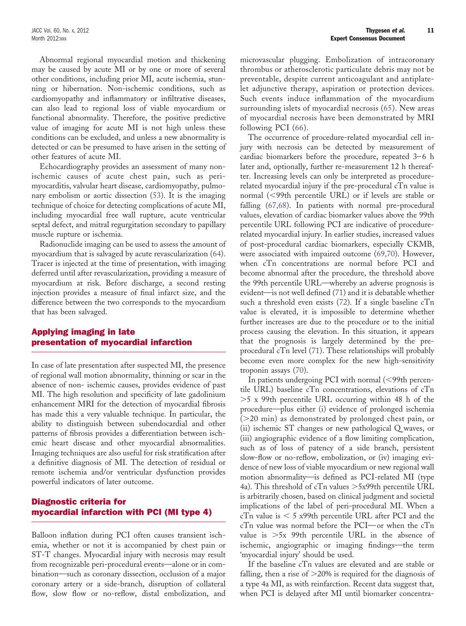Abnormal regional myocardial motion and thickening may be caused by acute MI or by one or more of several other conditions, including prior MI, acute ischemia, stunning or hibernation. Non-ischemic conditions, such as cardiomyopathy and inflammatory or infiltrative diseases, can also lead to regional loss of viable myocardium or functional abnormality. Therefore, the positive predictive value of imaging for acute MI is not high unless these conditions can be excluded, and unless a new abnormality is detected or can be presumed to have arisen in the setting of other features of acute MI.

Echocardiography provides an assessment of many nonischemic causes of acute chest pain, such as perimyocarditis, valvular heart disease, cardiomyopathy, pulmonary embolism or aortic dissection [\(53\)](#page-16-6). It is the imaging technique of choice for detecting complications of acute MI, including myocardial free wall rupture, acute ventricular septal defect, and mitral regurgitation secondary to papillary muscle rupture or ischemia.

Radionuclide imaging can be used to assess the amount of myocardium that is salvaged by acute revascularization [\(64\)](#page-16-15). Tracer is injected at the time of presentation, with imaging deferred until after revascularization, providing a measure of myocardium at risk. Before discharge, a second resting injection provides a measure of final infarct size, and the difference between the two corresponds to the myocardium that has been salvaged.

# Applying imaging in late presentation of myocardial infarction

In case of late presentation after suspected MI, the presence of regional wall motion abnormality, thinning or scar in the absence of non- ischemic causes, provides evidence of past MI. The high resolution and specificity of late gadolinium enhancement MRI for the detection of myocardial fibrosis has made this a very valuable technique. In particular, the ability to distinguish between subendocardial and other patterns of fibrosis provides a differentiation between ischemic heart disease and other myocardial abnormalities. Imaging techniques are also useful for risk stratification after a definitive diagnosis of MI. The detection of residual or remote ischemia and/or ventricular dysfunction provides powerful indicators of later outcome.

# Diagnostic criteria for myocardial infarction with PCI (MI type 4)

Balloon inflation during PCI often causes transient ischemia, whether or not it is accompanied by chest pain or ST-T changes. Myocardial injury with necrosis may result from recognizable peri-procedural events—alone or in combination—such as coronary dissection, occlusion of a major coronary artery or a side-branch, disruption of collateral flow, slow flow or no-reflow, distal embolization, and

microvascular plugging. Embolization of intracoronary thrombus or atherosclerotic particulate debris may not be preventable, despite current anticoagulant and antiplatelet adjunctive therapy, aspiration or protection devices. Such events induce inflammation of the myocardium surrounding islets of myocardial necrosis [\(65\)](#page-16-16). New areas of myocardial necrosis have been demonstrated by MRI following PCI [\(66\)](#page-16-17).

The occurrence of procedure-related myocardial cell injury with necrosis can be detected by measurement of cardiac biomarkers before the procedure, repeated  $3-6$  h later and, optionally, further re-measurement 12 h thereafter. Increasing levels can only be interpreted as procedurerelated myocardial injury if the pre-procedural cTn value is normal (99th percentile URL) or if levels are stable or falling [\(67,68\)](#page-16-18). In patients with normal pre-procedural values, elevation of cardiac biomarker values above the 99th percentile URL following PCI are indicative of procedurerelated myocardial injury. In earlier studies, increased values of post-procedural cardiac biomarkers, especially CKMB, were associated with impaired outcome [\(69,70\)](#page-16-19). However, when cTn concentrations are normal before PCI and become abnormal after the procedure, the threshold above the 99th percentile URL—whereby an adverse prognosis is evident—is not well defined [\(71\)](#page-16-20) and it is debatable whether such a threshold even exists  $(72)$ . If a single baseline cTn value is elevated, it is impossible to determine whether further increases are due to the procedure or to the initial process causing the elevation. In this situation, it appears that the prognosis is largely determined by the preprocedural cTn level [\(71\)](#page-16-20). These relationships will probably become even more complex for the new high-sensitivity troponin assays [\(70\)](#page-16-22).

In patients undergoing PCI with normal  $(<$ 99th percentile URL) baseline cTn concentrations, elevations of cTn  $>5$  x 99th percentile URL occurring within 48 h of the procedure—plus either (i) evidence of prolonged ischemia  $(220 \text{ min})$  as demonstrated by prolonged chest pain, or (ii) ischemic ST changes or new pathological Q waves, or (iii) angiographic evidence of a flow limiting complication, such as of loss of patency of a side branch, persistent slow-flow or no-reflow, embolization, or (iv) imaging evidence of new loss of viable myocardium or new regional wall motion abnormality—is defined as PCI-related MI (type 4a). This threshold of cTn values  $>5x99$ th percentile URL is arbitrarily chosen, based on clinical judgment and societal implications of the label of peri-procedural MI. When a cTn value is  $\leq 5$  x99th percentile URL after PCI and the cTn value was normal before the PCI—or when the cTn value is  $>5x$  99th percentile URL in the absence of ischemic, angiographic or imaging findings—the term 'myocardial injury' should be used.

If the baseline cTn values are elevated and are stable or falling, then a rise of  $>$  20% is required for the diagnosis of a type 4a MI, as with reinfarction. Recent data suggest that, when PCI is delayed after MI until biomarker concentra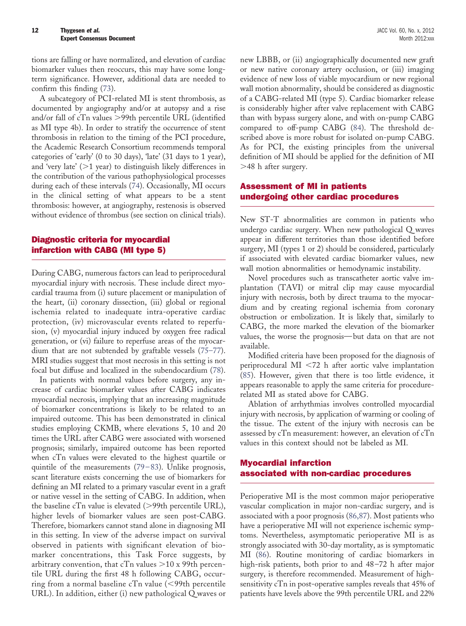tions are falling or have normalized, and elevation of cardiac biomarker values then reoccurs, this may have some longterm significance. However, additional data are needed to confirm this finding [\(73\)](#page-16-23).

A subcategory of PCI-related MI is stent thrombosis, as documented by angiography and/or at autopsy and a rise and/or fall of cTn values >99th percentile URL (identified as MI type 4b). In order to stratify the occurrence of stent thrombosis in relation to the timing of the PCI procedure, the Academic Research Consortium recommends temporal categories of 'early' (0 to 30 days), 'late' (31 days to 1 year), and 'very late'  $(>1$  year) to distinguish likely differences in the contribution of the various pathophysiological processes during each of these intervals [\(74\)](#page-17-0). Occasionally, MI occurs in the clinical setting of what appears to be a stent thrombosis: however, at angiography, restenosis is observed without evidence of thrombus (see section on clinical trials).

### Diagnostic criteria for myocardial infarction with CABG (MI type 5)

During CABG, numerous factors can lead to periprocedural myocardial injury with necrosis. These include direct myocardial trauma from (i) suture placement or manipulation of the heart, (ii) coronary dissection, (iii) global or regional ischemia related to inadequate intra-operative cardiac protection, (iv) microvascular events related to reperfusion, (v) myocardial injury induced by oxygen free radical generation, or (vi) failure to reperfuse areas of the myocardium that are not subtended by graftable vessels [\(75–77\)](#page-17-1). MRI studies suggest that most necrosis in this setting is not focal but diffuse and localized in the subendocardium [\(78\)](#page-17-2).

In patients with normal values before surgery, any increase of cardiac biomarker values after CABG indicates myocardial necrosis, implying that an increasing magnitude of biomarker concentrations is likely to be related to an impaired outcome. This has been demonstrated in clinical studies employing CKMB, where elevations 5, 10 and 20 times the URL after CABG were associated with worsened prognosis; similarly, impaired outcome has been reported when cTn values were elevated to the highest quartile or quintile of the measurements  $(79-83)$ . Unlike prognosis, scant literature exists concerning the use of biomarkers for defining an MI related to a primary vascular event in a graft or native vessel in the setting of CABG. In addition, when the baseline cTn value is elevated  $(>99th$  percentile URL), higher levels of biomarker values are seen post-CABG. Therefore, biomarkers cannot stand alone in diagnosing MI in this setting. In view of the adverse impact on survival observed in patients with significant elevation of biomarker concentrations, this Task Force suggests, by arbitrary convention, that cTn values  $>10$  x 99th percentile URL during the first 48 h following CABG, occurring from a normal baseline  $cTn$  value  $\leq 99$ th percentile URL). In addition, either (i) new pathological Q waves or

new LBBB, or (ii) angiographically documented new graft or new native coronary artery occlusion, or (iii) imaging evidence of new loss of viable myocardium or new regional wall motion abnormality, should be considered as diagnostic of a CABG-related MI (type 5). Cardiac biomarker release is considerably higher after valve replacement with CABG than with bypass surgery alone, and with on-pump CABG compared to off-pump CABG [\(84\)](#page-17-4). The threshold described above is more robust for isolated on-pump CABG. As for PCI, the existing principles from the universal definition of MI should be applied for the definition of MI 48 h after surgery.

# Assessment of MI in patients undergoing other cardiac procedures

New ST-T abnormalities are common in patients who undergo cardiac surgery. When new pathological Q waves appear in different territories than those identified before surgery, MI (types 1 or 2) should be considered, particularly if associated with elevated cardiac biomarker values, new wall motion abnormalities or hemodynamic instability.

Novel procedures such as transcatheter aortic valve implantation (TAVI) or mitral clip may cause myocardial injury with necrosis, both by direct trauma to the myocardium and by creating regional ischemia from coronary obstruction or embolization. It is likely that, similarly to CABG, the more marked the elevation of the biomarker values, the worse the prognosis— but data on that are not available.

Modified criteria have been proposed for the diagnosis of periprocedural MI 72 h after aortic valve implantation [\(85\)](#page-17-5). However, given that there is too little evidence, it appears reasonable to apply the same criteria for procedurerelated MI as stated above for CABG.

Ablation of arrhythmias involves controlled myocardial injury with necrosis, by application of warming or cooling of the tissue. The extent of the injury with necrosis can be assessed by cTn measurement: however, an elevation of cTn values in this context should not be labeled as MI.

# Myocardial infarction associated with non-cardiac procedures

Perioperative MI is the most common major perioperative vascular complication in major non-cardiac surgery, and is associated with a poor prognosis [\(86,87\)](#page-17-6). Most patients who have a perioperative MI will not experience ischemic symptoms. Nevertheless, asymptomatic perioperative MI is as strongly associated with 30-day mortality, as is symptomatic MI [\(86\)](#page-17-6). Routine monitoring of cardiac biomarkers in high-risk patients, both prior to and 48-72 h after major surgery, is therefore recommended. Measurement of highsensitivity cTn in post-operative samples reveals that 45% of patients have levels above the 99th percentile URL and 22%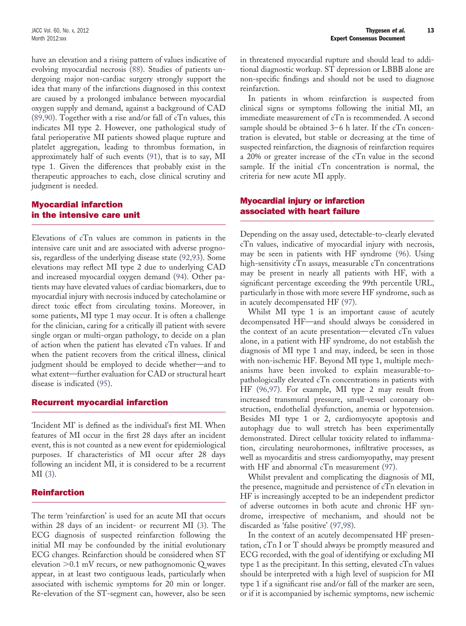have an elevation and a rising pattern of values indicative of evolving myocardial necrosis [\(88\)](#page-17-7). Studies of patients undergoing major non-cardiac surgery strongly support the idea that many of the infarctions diagnosed in this context are caused by a prolonged imbalance between myocardial oxygen supply and demand, against a background of CAD  $(89,90)$ . Together with a rise and/or fall of cTn values, this indicates MI type 2. However, one pathological study of fatal perioperative MI patients showed plaque rupture and platelet aggregation, leading to thrombus formation, in approximately half of such events [\(91\)](#page-17-9), that is to say, MI type 1. Given the differences that probably exist in the therapeutic approaches to each, close clinical scrutiny and judgment is needed.

# Myocardial infarction in the intensive care unit

Elevations of cTn values are common in patients in the intensive care unit and are associated with adverse prognosis, regardless of the underlying disease state [\(92,93\)](#page-17-10). Some elevations may reflect MI type 2 due to underlying CAD and increased myocardial oxygen demand [\(94\)](#page-17-11). Other patients may have elevated values of cardiac biomarkers, due to myocardial injury with necrosis induced by catecholamine or direct toxic effect from circulating toxins. Moreover, in some patients, MI type 1 may occur. It is often a challenge for the clinician, caring for a critically ill patient with severe single organ or multi-organ pathology, to decide on a plan of action when the patient has elevated cTn values. If and when the patient recovers from the critical illness, clinical judgment should be employed to decide whether—and to what extent—further evaluation for CAD or structural heart disease is indicated [\(95\)](#page-17-12).

### Recurrent myocardial infarction

'Incident MI' is defined as the individual's first MI. When features of MI occur in the first 28 days after an incident event, this is not counted as a new event for epidemiological purposes. If characteristics of MI occur after 28 days following an incident MI, it is considered to be a recurrent MI [\(3\)](#page-14-2).

### Reinfarction

The term 'reinfarction' is used for an acute MI that occurs within 28 days of an incident- or recurrent MI [\(3\)](#page-14-2). The ECG diagnosis of suspected reinfarction following the initial MI may be confounded by the initial evolutionary ECG changes. Reinfarction should be considered when ST elevation  $>0.1$  mV recurs, or new pathognomonic Q waves appear, in at least two contiguous leads, particularly when associated with ischemic symptoms for 20 min or longer. Re-elevation of the ST-segment can, however, also be seen

in threatened myocardial rupture and should lead to additional diagnostic workup. ST depression or LBBB alone are non-specific findings and should not be used to diagnose reinfarction.

In patients in whom reinfarction is suspected from clinical signs or symptoms following the initial MI, an immediate measurement of cTn is recommended. A second sample should be obtained  $3-6$  h later. If the cTn concentration is elevated, but stable or decreasing at the time of suspected reinfarction, the diagnosis of reinfarction requires a 20% or greater increase of the cTn value in the second sample. If the initial cTn concentration is normal, the criteria for new acute MI apply.

### Myocardial injury or infarction associated with heart failure

Depending on the assay used, detectable-to-clearly elevated cTn values, indicative of myocardial injury with necrosis, may be seen in patients with HF syndrome [\(96\)](#page-17-13). Using high-sensitivity cTn assays, measurable cTn concentrations may be present in nearly all patients with HF, with a significant percentage exceeding the 99th percentile URL, particularly in those with more severe HF syndrome, such as in acutely decompensated HF [\(97\)](#page-17-14).

Whilst MI type 1 is an important cause of acutely decompensated HF—and should always be considered in the context of an acute presentation— elevated cTn values alone, in a patient with HF syndrome, do not establish the diagnosis of MI type 1 and may, indeed, be seen in those with non-ischemic HF. Beyond MI type 1, multiple mechanisms have been invoked to explain measurable-topathologically elevated cTn concentrations in patients with HF [\(96,97\)](#page-17-13). For example, MI type 2 may result from increased transmural pressure, small-vessel coronary obstruction, endothelial dysfunction, anemia or hypotension. Besides MI type 1 or 2, cardiomyocyte apoptosis and autophagy due to wall stretch has been experimentally demonstrated. Direct cellular toxicity related to inflammation, circulating neurohormones, infiltrative processes, as well as myocarditis and stress cardiomyopathy, may present with HF and abnormal cTn measurement [\(97\)](#page-17-14).

Whilst prevalent and complicating the diagnosis of MI, the presence, magnitude and persistence of cTn elevation in HF is increasingly accepted to be an independent predictor of adverse outcomes in both acute and chronic HF syndrome, irrespective of mechanism, and should not be discarded as 'false positive' [\(97,98\)](#page-17-14).

In the context of an acutely decompensated HF presentation, cTn I or T should always be promptly measured and ECG recorded, with the goal of identifying or excluding MI type 1 as the precipitant. In this setting, elevated cTn values should be interpreted with a high level of suspicion for MI type 1 if a significant rise and/or fall of the marker are seen, or if it is accompanied by ischemic symptoms, new ischemic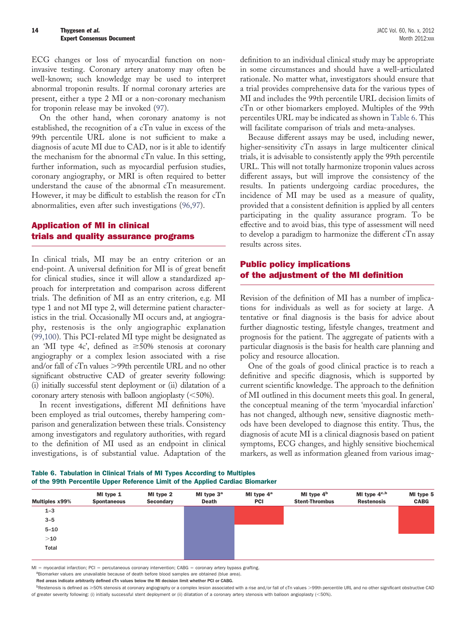ECG changes or loss of myocardial function on noninvasive testing. Coronary artery anatomy may often be well-known; such knowledge may be used to interpret abnormal troponin results. If normal coronary arteries are present, either a type 2 MI or a non-coronary mechanism for troponin release may be invoked [\(97\)](#page-17-14).

On the other hand, when coronary anatomy is not established, the recognition of a cTn value in excess of the 99th percentile URL alone is not sufficient to make a diagnosis of acute MI due to CAD, nor is it able to identify the mechanism for the abnormal cTn value. In this setting, further information, such as myocardial perfusion studies, coronary angiography, or MRI is often required to better understand the cause of the abnormal cTn measurement. However, it may be difficult to establish the reason for cTn abnormalities, even after such investigations [\(96,97\)](#page-17-13).

# Application of MI in clinical trials and quality assurance programs

In clinical trials, MI may be an entry criterion or an end-point. A universal definition for MI is of great benefit for clinical studies, since it will allow a standardized approach for interpretation and comparison across different trials. The definition of MI as an entry criterion, e.g. MI type 1 and not MI type 2, will determine patient characteristics in the trial. Occasionally MI occurs and, at angiography, restenosis is the only angiographic explanation [\(99,100\)](#page-17-15). This PCI-related MI type might be designated as an 'MI type 4c', defined as  $\geq$ 50% stenosis at coronary angiography or a complex lesion associated with a rise and/or fall of cTn values >99th percentile URL and no other significant obstructive CAD of greater severity following: (i) initially successful stent deployment or (ii) dilatation of a coronary artery stenosis with balloon angioplasty  $(<50\%)$ .

In recent investigations, different MI definitions have been employed as trial outcomes, thereby hampering comparison and generalization between these trials. Consistency among investigators and regulatory authorities, with regard to the definition of MI used as an endpoint in clinical investigations, is of substantial value. Adaptation of the

definition to an individual clinical study may be appropriate in some circumstances and should have a well-articulated rationale. No matter what, investigators should ensure that a trial provides comprehensive data for the various types of MI and includes the 99th percentile URL decision limits of cTn or other biomarkers employed. Multiples of the 99th percentiles URL may be indicated as shown in [Table 6.](#page-13-0) This will facilitate comparison of trials and meta-analyses.

Because different assays may be used, including newer, higher-sensitivity cTn assays in large multicenter clinical trials, it is advisable to consistently apply the 99th percentile URL. This will not totally harmonize troponin values across different assays, but will improve the consistency of the results. In patients undergoing cardiac procedures, the incidence of MI may be used as a measure of quality, provided that a consistent definition is applied by all centers participating in the quality assurance program. To be effective and to avoid bias, this type of assessment will need to develop a paradigm to harmonize the different cTn assay results across sites.

# Public policy implications of the adjustment of the MI definition

Revision of the definition of MI has a number of implications for individuals as well as for society at large. A tentative or final diagnosis is the basis for advice about further diagnostic testing, lifestyle changes, treatment and prognosis for the patient. The aggregate of patients with a particular diagnosis is the basis for health care planning and policy and resource allocation.

One of the goals of good clinical practice is to reach a definitive and specific diagnosis, which is supported by current scientific knowledge. The approach to the definition of MI outlined in this document meets this goal. In general, the conceptual meaning of the term 'myocardial infarction' has not changed, although new, sensitive diagnostic methods have been developed to diagnose this entity. Thus, the diagnosis of acute MI is a clinical diagnosis based on patient symptoms, ECG changes, and highly sensitive biochemical markers, as well as information gleaned from various imag-

<span id="page-13-0"></span>Table 6. Tabulation in Clinical Trials of MI Types According to Multiples of the 99th Percentile Upper Reference Limit of the Applied Cardiac Biomarker

| <b>Multiples x99%</b> | MI type 1<br><b>Spontaneous</b> | MI type 2<br><b>Secondary</b> | MI type $3^a$<br><b>Death</b> | MI type $4^a$<br>PCI | MI type $4b$<br><b>Stent-Thrombus</b> | MI type $4^{c,b}$<br><b>Restenosis</b> | MI type 5<br><b>CABG</b> |
|-----------------------|---------------------------------|-------------------------------|-------------------------------|----------------------|---------------------------------------|----------------------------------------|--------------------------|
| $1 - 3$               |                                 |                               |                               |                      |                                       |                                        |                          |
| $3 - 5$               |                                 |                               |                               |                      |                                       |                                        |                          |
| $5 - 10$              |                                 |                               |                               |                      |                                       |                                        |                          |
| >10                   |                                 |                               |                               |                      |                                       |                                        |                          |
| Total                 |                                 |                               |                               |                      |                                       |                                        |                          |
|                       |                                 |                               |                               |                      |                                       |                                        |                          |

MI = myocardial infarction; PCI = percutaneous coronary intervention; CABG = coronary artery bypass grafting. aBiomarker values are unavailable because of death before blood samples are obtained (blue area).

Red areas indicate arbitrarily defined cTn values below the MI decision limit whether PCI or CABG.

<sup>b</sup>Restenosis is defined as ≥50% stenosis at coronary angiography or a complex lesion associated with a rise and/or fall of cTn values >99th percentile URL and no other significant obstructive CAD of greater severity following: (i) initially successful stent deployment or (ii) dilatation of a coronary artery stenosis with balloon angioplasty (50%).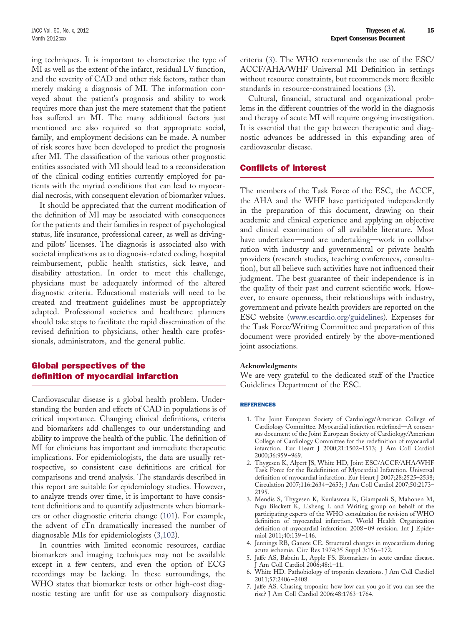ing techniques. It is important to characterize the type of MI as well as the extent of the infarct, residual LV function, and the severity of CAD and other risk factors, rather than merely making a diagnosis of MI. The information conveyed about the patient's prognosis and ability to work requires more than just the mere statement that the patient has suffered an MI. The many additional factors just mentioned are also required so that appropriate social, family, and employment decisions can be made. A number of risk scores have been developed to predict the prognosis after MI. The classification of the various other prognostic entities associated with MI should lead to a reconsideration of the clinical coding entities currently employed for patients with the myriad conditions that can lead to myocardial necrosis, with consequent elevation of biomarker values.

It should be appreciated that the current modification of the definition of MI may be associated with consequences for the patients and their families in respect of psychological status, life insurance, professional career, as well as drivingand pilots' licenses. The diagnosis is associated also with societal implications as to diagnosis-related coding, hospital reimbursement, public health statistics, sick leave, and disability attestation. In order to meet this challenge, physicians must be adequately informed of the altered diagnostic criteria. Educational materials will need to be created and treatment guidelines must be appropriately adapted. Professional societies and healthcare planners should take steps to facilitate the rapid dissemination of the revised definition to physicians, other health care professionals, administrators, and the general public.

# Global perspectives of the definition of myocardial infarction

Cardiovascular disease is a global health problem. Understanding the burden and effects of CAD in populations is of critical importance. Changing clinical definitions, criteria and biomarkers add challenges to our understanding and ability to improve the health of the public. The definition of MI for clinicians has important and immediate therapeutic implications. For epidemiologists, the data are usually retrospective, so consistent case definitions are critical for comparisons and trend analysis. The standards described in this report are suitable for epidemiology studies. However, to analyze trends over time, it is important to have consistent definitions and to quantify adjustments when biomarkers or other diagnostic criteria change [\(101\)](#page-17-16). For example, the advent of cTn dramatically increased the number of diagnosable MIs for epidemiologists [\(3,102\)](#page-14-2).

In countries with limited economic resources, cardiac biomarkers and imaging techniques may not be available except in a few centers, and even the option of ECG recordings may be lacking. In these surroundings, the WHO states that biomarker tests or other high-cost diagnostic testing are unfit for use as compulsory diagnostic

criteria [\(3\)](#page-14-2). The WHO recommends the use of the ESC/ ACCF/AHA/WHF Universal MI Definition in settings without resource constraints, but recommends more flexible standards in resource-constrained locations [\(3\)](#page-14-2).

Cultural, financial, structural and organizational problems in the different countries of the world in the diagnosis and therapy of acute MI will require ongoing investigation. It is essential that the gap between therapeutic and diagnostic advances be addressed in this expanding area of cardiovascular disease.

# Conflicts of interest

The members of the Task Force of the ESC, the ACCF, the AHA and the WHF have participated independently in the preparation of this document, drawing on their academic and clinical experience and applying an objective and clinical examination of all available literature. Most have undertaken—and are undertaking—work in collaboration with industry and governmental or private health providers (research studies, teaching conferences, consultation), but all believe such activities have not influenced their judgment. The best guarantee of their independence is in the quality of their past and current scientific work. However, to ensure openness, their relationships with industry, government and private health providers are reported on the ESC website [\(www.escardio.org/guidelines\)](http://www.escardio.org/guidelines). Expenses for the Task Force/Writing Committee and preparation of this document were provided entirely by the above-mentioned joint associations.

### **Acknowledgments**

We are very grateful to the dedicated staff of the Practice Guidelines Department of the ESC.

#### <span id="page-14-0"></span>REFERENCES

- 1. The Joint European Society of Cardiology/American College of Cardiology Committee. Myocardial infarction redefined—A consensus document of the Joint European Society of Cardiology/American College of Cardiology Committee for the redefinition of myocardial infarction. Eur Heart J 2000;21:1502–1513; J Am Coll Cardiol 2000;36:959 –969.
- <span id="page-14-1"></span>2. Thygesen K, Alpert JS, White HD, Joint ESC/ACCF/AHA/WHF Task Force for the Redefinition of Myocardial Infarction. Universal definition of myocardial infarction. Eur Heart J 2007;28:2525–2538; Circulation 2007;116:2634 –2653; J Am Coll Cardiol 2007;50:2173– 2195.
- <span id="page-14-2"></span>3. Mendis S, Thygesen K, Kuulasmaa K, Giampaoli S, Mahonen M, Ngu Blackett K, Lisheng L and Writing group on behalf of the participating experts of the WHO consultation for revision of WHO definition of myocardial infarction. World Health Organization definition of myocardial infarction: 2008 – 09 revision. Int J Epidemiol 2011;40:139 –146.
- <span id="page-14-4"></span><span id="page-14-3"></span>4. Jennings RB, Ganote CE. Structural changes in myocardium during acute ischemia. Circ Res 1974;35 Suppl 3:156 –172.
- <span id="page-14-5"></span>5. Jaffe AS, Babuin L, Apple FS. Biomarkers in acute cardiac disease. J Am Coll Cardiol 2006;48:1–11.
- <span id="page-14-6"></span>6. White HD. Pathobiology of troponin elevations. J Am Coll Cardiol 2011;57:2406 –2408.
- 7. Jaffe AS. Chasing troponin: how low can you go if you can see the rise? J Am Coll Cardiol 2006;48:1763–1764.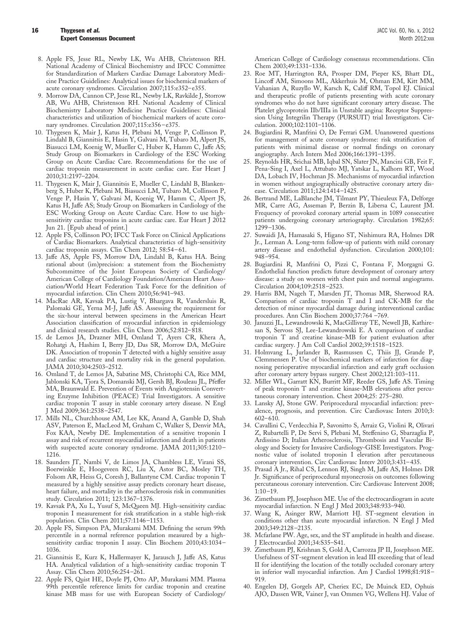- <span id="page-15-0"></span>8. Apple FS, Jesse RL, Newby LK, Wu AHB, Christenson RH. National Academy of Clinical Biochemistry and IFCC Committee for Standardization of Markers Cardiac Damage Laboratory Medicine Practice Guidelines: Analytical issues for biochemical markers of acute coronary syndromes. Circulation 2007;115:e352– e355.
- 9. Morrow DA, Cannon CP, Jesse RL, Newby LK, Ravkilde J, Storrow AB, Wu AHB, Christenson RH. National Academy of Clinical Biochemistry Laboratory Medicine Practice Guidelines: Clinical characteristics and utilization of biochemical markers of acute coronary syndromes. Circulation 2007;115:e356 – e375.
- <span id="page-15-1"></span>10. Thygesen K, Mair J, Katus H, Plebani M, Venge P, Collinson P, Lindahl B, Giannitsis E, Hasin Y, Galvani M, Tubaro M, Alpert JS, Biasucci LM, Koenig W, Mueller C, Huber K, Hamm C, Jaffe AS; Study Group on Biomarkers in Cardiology of the ESC Working Group on Acute Cardiac Care. Recommendations for the use of cardiac troponin measurement in acute cardiac care. Eur Heart J 2010;31:2197–2204.
- 11. Thygesen K, Mair J, Giannitsis E, Mueller C, Lindahl B, Blankenberg S, Huber K, Plebani M, Biasucci LM, Tubaro M, Collinson P, Venge P, Hasin Y, Galvani M, Koenig W, Hamm C, Alpert JS, Katus H, Jaffe AS; Study Group on Biomarkers in Cardiology of the ESC Working Group on Acute Cardiac Care. How to use highsensitivity cardiac troponins in acute cardiac care. Eur Heart J 2012 Jun 21. [Epub ahead of print.]
- 12. Apple FS, Collinson PO; IFCC Task Force on Clinical Applications of Cardiac Biomarkers. Analytical characteristics of high-sensitivity cardiac troponin assays. Clin Chem 2012; 58:54-61.
- <span id="page-15-2"></span>13. Jaffe AS, Apple FS, Morrow DA, Lindahl B, Katus HA. Being rational about (im)precision: a statement from the Biochemistry Subcommittee of the Joint European Society of Cardiology/ American College of Cardiology Foundation/American Heart Association/World Heart Federation Task Force for the definition of myocardial infarction. Clin Chem 2010;56:941–943.
- <span id="page-15-3"></span>14. MacRae AR, Kavsak PA, Lustig V, Bhargava R, Vandersluis R, Palomaki GE, Yerna M-J, Jaffe AS. Assessing the requirement for the six-hour interval between specimens in the American Heart Association classification of myocardial infarction in epidemiology and clinical research studies. Clin Chem 2006;52:812– 818.
- 15. de Lemos JA, Drazner MH, Omland T, Ayers CR, Khera A, Rohatgi A, Hashim I, Berry JD, Das SR, Morrow DA, McGuire DK. Association of troponin T detected with a highly sensitive assay and cardiac structure and mortality risk in the general population. JAMA 2010;304:2503–2512.
- 16. Omland T, de Lemos JA, Sabatine MS, Christophi CA, Rice MM, Jablonski KA, Tjora S, Domanski MJ, Gersh BJ, Rouleau JL, Pfeffer MA, Braunwald E. Prevention of Events with Angiotensin Converting Enzyme Inhibition (PEACE) Trial Investigators. A sensitive cardiac troponin T assay in stable coronary artery disease. N Engl J Med 2009;361:2538 –2547.
- 17. Mills NL, Churchhouse AM, Lee KK, Anand A, Gamble D, Shah ASV, Paterson E, MacLeod M, Graham C, Walker S, Denvir MA, Fox KAA, Newby DE. Implementation of a sensitive troponin I assay and risk of recurrent myocardial infarction and death in patients with suspected acute conorary syndrome. JAMA 2011;305:1210 – 1216.
- <span id="page-15-14"></span>18. Saunders JT, Nambi V, de Limos JA, Chambless LE, Virani SS, Boerwinkle E, Hoogeveen RC, Liu X, Astor BC, Mosley TH, Folsom AR, Heiss G, Coresh J, Ballantyne CM. Cardiac troponin T measured by a highly sensitive assay predicts coronary heart disease, heart failure, and mortality in the atherosclerosis risk in communities study. Circulation 2011; 123:1367–1376.
- <span id="page-15-4"></span>19. Kavsak PA, Xu L, Yusuf S, McQueen MJ. High-sensitivity cardiac troponin I measurement for risk stratification in a stable high-risk population. Clin Chem 2011;57:1146 –1153.
- 20. Apple FS, Simpson PA, Murakami MM. Defining the serum 99th percentile in a normal reference population measured by a highsensitivity cardiac troponin I assay. Clin Biochem 2010;43:1034 – 1036.
- <span id="page-15-5"></span>21. Giannitsis E, Kurz K, Hallermayer K, Jarausch J, Jaffe AS, Katus HA. Analytical validation of a high-sensitivity cardiac troponin T Assay. Clin Chem 2010;56:254 –261.
- 22. Apple FS, Quist HE, Doyle PJ, Otto AP, Murakami MM. Plasma 99th percentile reference limits for cardiac troponin and creatine kinase MB mass for use with European Society of Cardiology/

American College of Cardiology consensus recommendations. Clin Chem 2003;49:1331–1336.

- <span id="page-15-6"></span>23. Roe MT, Harrington RA, Prosper DM, Pieper KS, Bhatt DL, Lincoff AM, Simoons ML, Akkerhuis M, Ohman EM, Kitt MM, Vahanian A, Ruzyllo W, Karsch K, Califf RM, Topol EJ. Clinical and therapeutic profile of patients presenting with acute coronary syndromes who do not have significant coronary artery disease. The Platelet glycoprotein IIb/IIIa in Unstable angina: Receptor Suppression Using Integrilin Therapy (PURSUIT) trial Investigators. Circulation. 2000;102:1101–1106.
- 24. Bugiardini R, Manfrini O, De Ferrari GM. Unanswered questions for management of acute coronary syndrome: risk stratification of patients with minimal disease or normal findings on coronary angiography. Arch Intern Med 2006;166:1391–1395.
- 25. Reynolds HR, Srichai MB, Iqbal SN, Slater JN, Mancini GB, Feit F, Pena-Sing I, Axel L, Attubato MJ, Yatskar L, Kalhorn RT, Wood DA, Lobach IV, Hochman JS. Mechanisms of myocardial infarction in women without angiographically obstructive coronary artery disease. Circulation 2011;124:1414 –1425.
- <span id="page-15-7"></span>26. Bertrand ME, LaBlanche JM, Tilmant PY, Thieuleux FA, Delforge MR, Carre AG, Asseman P, Berzin B, Libersa C, Laurent JM. Frequency of provoked coronary arterial spasm in 1089 consecutive patients undergoing coronary arteriography. Circulation 1982;65: 1299 –1306.
- 27. Suwaidi JA, Hamasaki S, Higano ST, Nishimura RA, Holmes DR Jr., Lerman A. Long-term follow-up of patients with mild coronary artery disease and endothelial dysfunction. Circulation 2000;101: 948 –954.
- 28. Bugiardini R, Manfrini O, Pizzi C, Fontana F, Morgagni G. Endothelial function predicts future development of coronary artery disease: a study on women with chest pain and normal angiograms. Circulation 2004;109:2518 –2523.
- <span id="page-15-8"></span>29. Harris BM, Nageh T, Marsden JT, Thomas MR, Sherwood RA. Comparison of cardiac troponin T and I and CK-MB for the detection of minor myocardial damage during interventional cardiac procedures. Ann Clin Biochem 2000;37:764 –769.
- 30. Januzzi JL, Lewandrowski K, MacGillivray TE, Newell JB, Kathiresan S, Servoss SJ, Lee-Lewandrowski E. A comparison of cardiac troponin T and creatine kinase-MB for patient evaluation after cardiac surgery. J Am Coll Cardiol 2002;39:1518 –1523.
- 31. Holmvang L, Jurlander B, Rasmussen C, Thiis JJ, Grande P, Clemmensen P. Use of biochemical markers of infarction for diagnosing perioperative myocardial infarction and early graft occlusion after coronary artery bypass surgery. Chest 2002;121:103–111.
- <span id="page-15-9"></span>32. Miller WL, Garratt KN, Burritt MF, Reeder GS, Jaffe AS. Timing of peak troponin T and creatine kinase-MB elevations after percutaneous coronary intervention. Chest 2004;25: 275–280.
- 33. Lansky AJ, Stone GW. Periprocedural myocardial infarction: prevalence, prognosis, and prevention. Circ Cardiovasc Inters 2010;3:  $602 - 610.$
- 34. Cavallini C, Verdecchia P, Savonitto S, Arraiz G, Violini R, Olivari Z, Rubartelli P, De Servi S, Plebani M, Steffenino G, Sbarzaglia P, Ardissino D; Italian Atherosclerosis, Thrombosis and Vascular Biology and Society for Invasive Cardiology-GISE Investigators. Prognostic value of isolated troponin I elevation after percutaneous coronary intervention. Circ Cardiovasc Interv 2010;3:431– 435.
- 35. Prasad A Jr., Rihal CS, Lennon RJ, Singh M, Jaffe AS, Holmes DR Jr. Significance of periprocedural myonecrosis on outcomes following percutaneous coronary intervention. Circ Cardiovasc Intervent 2008; 1:10 –19.
- <span id="page-15-11"></span><span id="page-15-10"></span>36. Zimetbaum PJ, Josephson ME. Use of the electrocardiogram in acute myocardial infarction. N Engl J Med 2003;348:933–940.
- <span id="page-15-12"></span>37. Wang K, Asinger RW, Marriott HJ. ST-segment elevation in conditions other than acute myocardial infarction. N Engl J Med 2003;349:2128 –2135.
- <span id="page-15-13"></span>38. Mcfarlane PW. Age, sex, and the ST amplitude in health and disease. J Electrocardiol 2001;34:S35–S41.
- 39. Zimetbaum PJ, Krishnan S, Gold A, Carrozza JP II, Josephson ME. Usefulness of ST-segment elevation in lead III exceeding that of lead II for identifying the location of the totally occluded coronary artery in inferior wall myocardial infarction. Am J Cardiol 1998;81:918 – 919.
- 40. Engelen DJ, Gorgels AP, Cheriex EC, De Muinck ED, Ophuis AJO, Dassen WR, Vainer J, van Ommen VG, Wellens HJ. Value of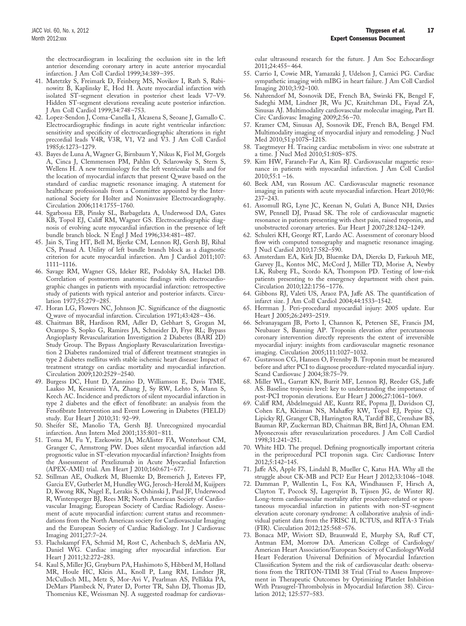the electrocardiogram in localizing the occlusion site in the left anterior descending coronary artery in acute anterior myocardial infarction. J Am Coll Cardiol 1999;34:389 –395.

- <span id="page-16-0"></span>41. Matetzky S, Freimark D, Feinberg MS, Novikov I, Rath S, Rabinowitz B, Kaplinsky E, Hod H. Acute myocardial infarction with isolated ST-segment elevation in posterior chest leads V7–V9. Hidden ST-segment elevations revealing acute posterior infarction. J Am Coll Cardiol 1999;34:748 –753.
- <span id="page-16-1"></span>42. Lopez-Sendon J, Coma-Canella I, Alcasena S, Seoane J, Gamallo C. Electrocardiographic findings in acute right ventricular infarction: sensitivity and specificity of electrocardiographic alterations in right precordial leads V4R, V3R, V1, V2 and V3. J Am Coll Cardiol 1985;6:1273–1279.
- 43. Bayes de Luna A, Wagner G, Birnbaum Y, Nikus K, Fiol M, Gorgels A, Cinca J, Clemmensen PM, Pahlm O, Sclarowsky S, Stern S, Wellens H. A new terminology for the left ventricular walls and for the location of myocardial infarcts that present Q wave based on the standard of cardiac magnetic resonance imaging. A statement for healthcare professionals from a Committee appointed by the International Society for Holter and Noninvasive Electrocardiography. Circulation 2006;114:1755–1760.
- <span id="page-16-2"></span>44. Sgarbossa EB, Pinsky SL, Barbagelata A, Underwood DA, Gates KB, Topol EJ, Califf RM, Wagner GS. Electrocardiographic diagnosis of evolving acute myocardial infarction in the presence of left bundle branch block. N Engl J Med 1996;334:481– 487.
- 45. Jain S, Ting HT, Bell M, Bjerke CM, Lennon RJ, Gersh BJ, Rihal CS, Prasad A. Utility of left bundle branch block as a diagnostic criterion for acute myocardial infarction. Am J Cardiol 2011;107: 1111–1116.
- <span id="page-16-3"></span>46. Savage RM, Wagner GS, Ideker RE, Podolsky SA, Hackel DB. Correlation of postmortem anatomic findings with electrocardiographic changes in patients with myocardial infarction: retrospective study of patients with typical anterior and posterior infarcts. Circulation 1977;55:279 –285.
- <span id="page-16-4"></span>47. Horan LG, Flowers NC, Johnson JC. Significance of the diagnostic Q wave of myocardial infarction. Circulation 1971;43:428 – 436.
- 48. Chaitman BR, Hardison RM, Adler D, Gebhart S, Grogan M, Ocampo S, Sopko G, Ramires JA, Schneider D, Frye RL; Bypass Angioplasty Revascularization Investigation 2 Diabetes (BARI 2D) Study Group. The Bypass Angioplasty Revascularization Investigation 2 Diabetes randomized trial of different treatment strategies in type 2 diabetes mellitus with stable ischemic heart disease: Impact of treatment strategy on cardiac mortality and myocardial infarction. Circulation 2009;120:2529 –2540.
- 49. Burgess DC, Hunt D, Zannino D, Williamson E, Davis TME, Laakso M, Kesaniemi YA, Zhang J, Sy RW, Lehto S, Mann S, Keech AC. Incidence and predictors of silent myocardial infarction in type 2 diabetes and the effect of fenofibrate: an analysis from the Fenofibrate Intervention and Event Lowering in Diabetes (FIELD) study. Eur Heart J 2010;31: 92–99.
- 50. Sheifer SE, Manolio TA, Gersh BJ. Unrecognized myocardial infarction. Ann Intern Med 2001;135:801– 811.
- 51. Toma M, Fu Y, Ezekowitz JA, McAlister FA, Westerhout CM, Granger C, Armstrong PW. Does silent myocardial infarction add prognostic value in ST-elevation myocardial infarction? Insights from the Assessment of Pexelizumab in Acute Myocardial Infarction (APEX-AMI) trial. Am Heart J 2010;160:671-677.
- <span id="page-16-5"></span>52. Stillman AE, Oudkerk M, Bluemke D, Bremerich J, Esteves FP, Garcia EV, Gutberlet M, Hundley WG, Jerosch-Herold M, Kuijpers D, Kwong RK, Nagel E, Lerakis S, Oshinski J, Paul JF, Underwood R, Wintersperger BJ, Rees MR; North American Society of Cardiovascular Imaging; European Society of Cardiac Radiology. Assessment of acute myocardial infarction: current status and recommendations from the North American society for Cardiovascular Imaging and the European Society of Cardiac Radiology. Int J Cardiovasc Imaging 2011;27:7–24.
- <span id="page-16-7"></span><span id="page-16-6"></span>53. Flachskampf FA, Schmid M, Rost C, Achenbach S, deMaria AN, Daniel WG. Cardiac imaging after myocardial infarction. Eur Heart J 2011;32:272–283.
- 54. Kaul S, Miller JG, Grayburn PA, Hashimoto S, Hibberd M, Holland MR, Houle HC, Klein AL, Knoll P, Lang RM, Lindner JR, McCulloch ML, Metz S, Mor-Avi V, Pearlman AS, Pellikka PA, DeMars Plambeck N, Prater D, Porter TR, Sahn DJ, Thomas JD, Thomenius KE, Weissman NJ. A suggested roadmap for cardiovas-

cular ultrasound research for the future. J Am Soc Echocardiogr 2011;24:455– 464.

- <span id="page-16-8"></span>55. Carrio I, Cowie MR, Yamazaki J, Udelson J, Camici PG. Cardiac sympathetic imaging with mIBG in heart failure. J Am Coll Cardiol Imaging 2010;3:92–100.
- <span id="page-16-9"></span>56. Nahrendorf M, Sosnovik DE, French BA, Swirski FK, Bengel F, Sadeghi MM, Lindner JR, Wu JC, Kraitchman DL, Fayad ZA, Sinusas AJ. Multimodality cardiovascular molecular imaging, Part II. Circ Cardiovasc Imaging 2009;2:56 –70.
- 57. Kramer CM, Sinusas AJ, Sosnovik DE, French BA, Bengel FM. Multimodality imaging of myocardial injury and remodeling. J Nucl Med 2010;51:p107S–121S.
- <span id="page-16-11"></span><span id="page-16-10"></span>58. Taegtmeyer H. Tracing cardiac metabolism in vivo: one substrate at a time. J Nucl Med 2010;51:80S– 87S.
- 59. Kim HW, Faraneh-Far A, Kim RJ. Cardiovascular magnetic resonance in patients with myocardial infarction. J Am Coll Cardiol 2010;55:1 –16.
- 60. Beek AM, van Rossum AC. Cardiovascular magnetic resonance imaging in patients with acute myocardial infarction. Heart 2010;96: 237–243.
- <span id="page-16-12"></span>61. Assomull RG, Lyne JC, Keenan N, Gulati A, Bunce NH, Davies SW, Pennell DJ, Prasad SK. The role of cardiovascular magnetic resonance in patients presenting with chest pain, raised troponin, and unobstructed coronary arteries. Eur Heart J 2007;28:1242–1249.
- <span id="page-16-13"></span>62. Schuleri KH, George RT, Lardo AC. Assessment of coronary blood flow with computed tomography and magnetic resonance imaging. J Nucl Cardiol 2010;17:582–590.
- <span id="page-16-14"></span>63. Amsterdam EA, Kirk JD, Bluemke DA, Diercks D, Farkouh ME, Garvey JL, Kontos MC, McCord J, Miller TD, Morise A, Newby LK, Ruberg FL, Scordo KA, Thompson PD. Testing of low-risk patients presenting to the emergency department with chest pain. Circulation 2010;122:1756 –1776.
- <span id="page-16-16"></span><span id="page-16-15"></span>64. Gibbons RJ, Valeti US, Araoz PA, Jaffe AS. The quantification of infarct size. J Am Coll Cardiol 2004;44:1533–1542.
- <span id="page-16-17"></span>65. Herrman J. Peri-procedural myocardial injury: 2005 update. Eur Heart J 2005;26:2493–2519.
- 66. Selvanayagam JB, Porto I, Channon K, Petersen SE, Francis JM, Neubauer S, Banning AP. Troponin elevation after percutaneous coronary intervention directly represents the extent of irreversible myocardial injury: insights from cardiovascular magnetic resonance imaging. Circulation 2005;111:1027–1032.
- <span id="page-16-18"></span>67. Gustavsson CG, Hansen O, Frennby B. Troponin must be measured before and after PCI to diagnose procedure-related myocardial injury. Scand Cardiovasc J 2004;38:75-79.
- 68. Miller WL, Garratt KN, Burrit MF, Lennon RJ, Reeder GS, Jaffe AS. Baseline troponin level: key to understanding the importance of post-PCI troponin elevations. Eur Heart J 2006;27:1061–1069.
- <span id="page-16-19"></span>69. Califf RM, Abdelmeguid AE, Kuntz RE, Popma JJ, Davidson CJ, Cohen EA, Kleiman NS, Mahaffey KW, Topol EJ, Pepine CJ, Lipicky RJ, Granger CB, Harrington RA, Tardiff BE, Crenshaw BS, Bauman RP, Zuckerman BD, Chaitman BR, Bittl JA, Ohman EM. Myonecrosis after revascularization procedures. J Am Coll Cardiol 1998;31:241–251.
- <span id="page-16-22"></span><span id="page-16-20"></span>70. White HD. The prequel. Defining prognostically important criteria in the periprocedural PCI troponin saga. Circ Cardiovasc Interv 2012;5:142–145.
- <span id="page-16-21"></span>71. Jaffe AS, Apple FS, Lindahl B, Mueller C, Katus HA. Why all the struggle about CK-MB and PCI? Eur Heart J 2012;33:1046 –1048.
- 72. Damman P, Wallentin L, Fox KA, Windhausen F, Hirsch A, Clayton T, Pocock SJ, Lagerqvist B, Tijssen JG, de Winter RJ. Long-term cardiovascular mortality after procedure-related or spontaneous myocardial infarction in patients with non-ST-segment elevation acute coronary syndrome: A collaborative analysis of individual patient data from the FRISC II, ICTUS, and RITA-3 Trials (FIR). Circulation 2012;125:568 –576.
- <span id="page-16-23"></span>73. Bonaca MP, Wiviott SD, Braunwald E, Murphy SA, Ruff CT, Antman EM, Morrow DA. American College of Cardiology/ American Heart Association/European Society of Cardiology/World Heart Federation Universal Definition of Myocardial Infarction Classification System and the risk of cardiovascular death: observations from the TRITON-TIMI 38 Trial (Trial to Assess Improvement in Therapeutic Outcomes by Optimizing Platelet Inhibition With Prasugrel-Thrombolysis in Myocardial Infarction 38). Circulation 2012; 125:577–583.